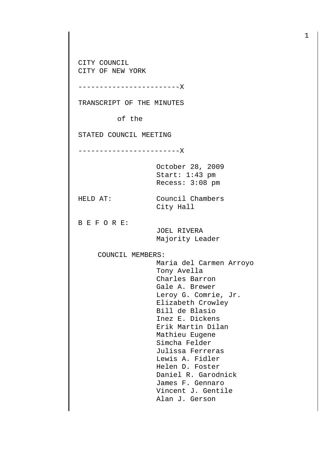CITY COUNCIL CITY OF NEW YORK

------------------------X

TRANSCRIPT OF THE MINUTES

of the

STATED COUNCIL MEETING

------------------------X

October 28, 2009 Start: 1:43 pm Recess: 3:08 pm

HELD AT: Council Chambers City Hall

B E F O R E:

 JOEL RIVERA Majority Leader

COUNCIL MEMBERS:

 Maria del Carmen Arroyo Tony Avella Charles Barron Gale A. Brewer Leroy G. Comrie, Jr. Elizabeth Crowley Bill de Blasio Inez E. Dickens Erik Martin Dilan Mathieu Eugene Simcha Felder Julissa Ferreras Lewis A. Fidler Helen D. Foster Daniel R. Garodnick James F. Gennaro Vincent J. Gentile Alan J. Gerson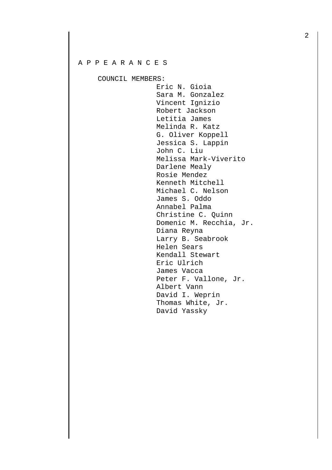## A P P E A R A N C E S

COUNCIL MEMBERS:

 Eric N. Gioia Sara M. Gonzalez Vincent Ignizio Robert Jackson Letitia James Melinda R. Katz G. Oliver Koppell Jessica S. Lappin John C. Liu Melissa Mark-Viverito Darlene Mealy Rosie Mendez Kenneth Mitchell Michael C. Nelson James S. Oddo Annabel Palma Christine C. Quinn Domenic M. Recchia, Jr. Diana Reyna Larry B. Seabrook Helen Sears Kendall Stewart Eric Ulrich James Vacca Peter F. Vallone, Jr. Albert Vann David I. Weprin Thomas White, Jr. David Yassky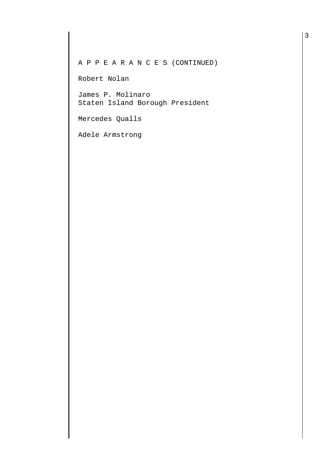A P P E A R A N C E S (CONTINUED)

Robert Nolan

James P. Molinaro Staten Island Borough President

Mercedes Qualls

Adele Armstrong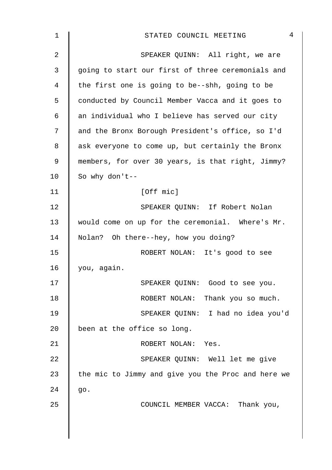| 1  | 4<br>STATED COUNCIL MEETING                        |
|----|----------------------------------------------------|
| 2  | SPEAKER QUINN: All right, we are                   |
| 3  | going to start our first of three ceremonials and  |
| 4  | the first one is going to be--shh, going to be     |
| 5  | conducted by Council Member Vacca and it goes to   |
| 6  | an individual who I believe has served our city    |
| 7  | and the Bronx Borough President's office, so I'd   |
| 8  | ask everyone to come up, but certainly the Bronx   |
| 9  | members, for over 30 years, is that right, Jimmy?  |
| 10 | So why don't--                                     |
| 11 | [Off mic]                                          |
| 12 | SPEAKER QUINN: If Robert Nolan                     |
| 13 | would come on up for the ceremonial. Where's Mr.   |
| 14 | Nolan? Oh there--hey, how you doing?               |
| 15 | ROBERT NOLAN: It's good to see                     |
| 16 | you, again.                                        |
| 17 | SPEAKER QUINN: Good to see you.                    |
| 18 | ROBERT NOLAN: Thank you so much.                   |
| 19 | SPEAKER QUINN: I had no idea you'd                 |
| 20 | been at the office so long.                        |
| 21 | ROBERT NOLAN: Yes.                                 |
| 22 | SPEAKER QUINN: Well let me give                    |
| 23 | the mic to Jimmy and give you the Proc and here we |
| 24 | go.                                                |
| 25 | COUNCIL MEMBER VACCA: Thank you,                   |
|    |                                                    |
|    |                                                    |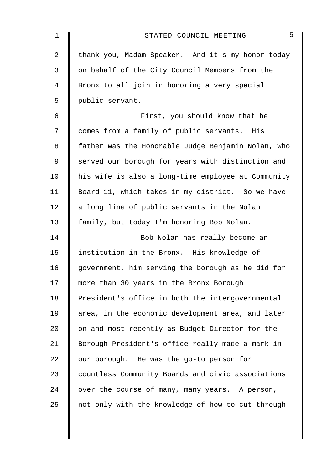| $\mathbf 1$    | 5<br>STATED COUNCIL MEETING                        |
|----------------|----------------------------------------------------|
| $\overline{2}$ | thank you, Madam Speaker. And it's my honor today  |
| 3              | on behalf of the City Council Members from the     |
| 4              | Bronx to all join in honoring a very special       |
| 5              | public servant.                                    |
| 6              | First, you should know that he                     |
| 7              | comes from a family of public servants. His        |
| 8              | father was the Honorable Judge Benjamin Nolan, who |
| 9              | served our borough for years with distinction and  |
| 10             | his wife is also a long-time employee at Community |
| 11             | Board 11, which takes in my district. So we have   |
| 12             | a long line of public servants in the Nolan        |
| 13             | family, but today I'm honoring Bob Nolan.          |
| 14             | Bob Nolan has really become an                     |
| 15             | institution in the Bronx. His knowledge of         |
| 16             | government, him serving the borough as he did for  |
| 17             | more than 30 years in the Bronx Borough            |
| 18             | President's office in both the intergovernmental   |
| 19             | area, in the economic development area, and later  |
| 20             | on and most recently as Budget Director for the    |
| 21             | Borough President's office really made a mark in   |
| 22             | our borough. He was the go-to person for           |
| 23             | countless Community Boards and civic associations  |
| 24             | over the course of many, many years. A person,     |
| 25             | not only with the knowledge of how to cut through  |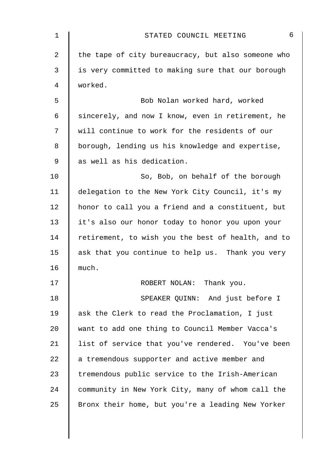| $\mathbf 1$ | 6<br>STATED COUNCIL MEETING                        |
|-------------|----------------------------------------------------|
| 2           | the tape of city bureaucracy, but also someone who |
| 3           | is very committed to making sure that our borough  |
| 4           | worked.                                            |
| 5           | Bob Nolan worked hard, worked                      |
| 6           | sincerely, and now I know, even in retirement, he  |
| 7           | will continue to work for the residents of our     |
| 8           | borough, lending us his knowledge and expertise,   |
| 9           | as well as his dedication.                         |
| 10          | So, Bob, on behalf of the borough                  |
| 11          | delegation to the New York City Council, it's my   |
| 12          | honor to call you a friend and a constituent, but  |
| 13          | it's also our honor today to honor you upon your   |
| 14          | retirement, to wish you the best of health, and to |
| 15          | ask that you continue to help us. Thank you very   |
| 16          | much.                                              |
| 17          | ROBERT NOLAN: Thank you.                           |
| 18          | SPEAKER QUINN: And just before I                   |
| 19          | ask the Clerk to read the Proclamation, I just     |
| $20 \,$     | want to add one thing to Council Member Vacca's    |
| 21          | list of service that you've rendered. You've been  |
| 22          | a tremendous supporter and active member and       |
| 23          | tremendous public service to the Irish-American    |
| 24          | community in New York City, many of whom call the  |
| 25          | Bronx their home, but you're a leading New Yorker  |
|             |                                                    |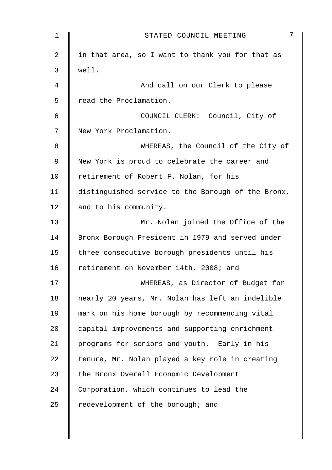| 1           | 7<br>STATED COUNCIL MEETING                        |
|-------------|----------------------------------------------------|
| 2           | in that area, so I want to thank you for that as   |
| 3           | well.                                              |
| 4           | And call on our Clerk to please                    |
| 5           | read the Proclamation.                             |
| 6           | COUNCIL CLERK: Council, City of                    |
| 7           | New York Proclamation.                             |
| 8           | WHEREAS, the Council of the City of                |
| $\mathsf 9$ | New York is proud to celebrate the career and      |
| 10          | retirement of Robert F. Nolan, for his             |
| 11          | distinguished service to the Borough of the Bronx, |
| 12          | and to his community.                              |
| 13          | Mr. Nolan joined the Office of the                 |
| 14          | Bronx Borough President in 1979 and served under   |
| 15          | three consecutive borough presidents until his     |
| 16          | retirement on November 14th, 2008; and             |
| 17          | WHEREAS, as Director of Budget for                 |
| 18          | nearly 20 years, Mr. Nolan has left an indelible   |
| 19          | mark on his home borough by recommending vital     |
| 20          | capital improvements and supporting enrichment     |
| 21          | programs for seniors and youth. Early in his       |
| 22          | tenure, Mr. Nolan played a key role in creating    |
| 23          | the Bronx Overall Economic Development             |
| 24          | Corporation, which continues to lead the           |
| 25          | redevelopment of the borough; and                  |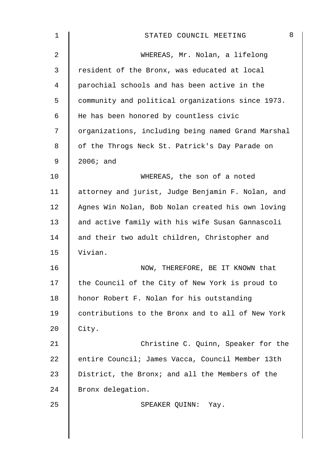| 1              | 8<br>STATED COUNCIL MEETING                        |
|----------------|----------------------------------------------------|
| $\overline{a}$ | WHEREAS, Mr. Nolan, a lifelong                     |
| 3              | resident of the Bronx, was educated at local       |
| 4              | parochial schools and has been active in the       |
| 5              | community and political organizations since 1973.  |
| 6              | He has been honored by countless civic             |
| 7              | organizations, including being named Grand Marshal |
| 8              | of the Throgs Neck St. Patrick's Day Parade on     |
| 9              | $2006;$ and                                        |
| 10             | WHEREAS, the son of a noted                        |
| 11             | attorney and jurist, Judge Benjamin F. Nolan, and  |
| 12             | Agnes Win Nolan, Bob Nolan created his own loving  |
| 13             | and active family with his wife Susan Gannascoli   |
| 14             | and their two adult children, Christopher and      |
| 15             | Vivian.                                            |
| 16             | NOW, THEREFORE, BE IT KNOWN that                   |
| 17             | the Council of the City of New York is proud to    |
| 18             | honor Robert F. Nolan for his outstanding          |
| 19             | contributions to the Bronx and to all of New York  |
| 20             | City.                                              |
| 21             | Christine C. Quinn, Speaker for the                |
| 22             | entire Council; James Vacca, Council Member 13th   |
| 23             | District, the Bronx; and all the Members of the    |
| 24             | Bronx delegation.                                  |
| 25             | SPEAKER QUINN:<br>Yay.                             |
|                |                                                    |
|                |                                                    |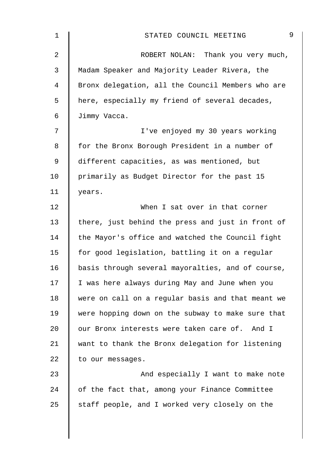| 1              | 9<br>STATED COUNCIL MEETING                       |
|----------------|---------------------------------------------------|
| $\overline{2}$ | ROBERT NOLAN: Thank you very much,                |
| $\mathfrak{Z}$ | Madam Speaker and Majority Leader Rivera, the     |
| 4              | Bronx delegation, all the Council Members who are |
| 5              | here, especially my friend of several decades,    |
| 6              | Jimmy Vacca.                                      |
| 7              | I've enjoyed my 30 years working                  |
| 8              | for the Bronx Borough President in a number of    |
| 9              | different capacities, as was mentioned, but       |
| 10             | primarily as Budget Director for the past 15      |
| 11             | years.                                            |
| 12             | When I sat over in that corner                    |
| 13             | there, just behind the press and just in front of |
| 14             | the Mayor's office and watched the Council fight  |
| 15             | for good legislation, battling it on a regular    |
| 16             | basis through several mayoralties, and of course, |
| 17             | I was here always during May and June when you    |
| 18             | were on call on a regular basis and that meant we |
| 19             | were hopping down on the subway to make sure that |
| 20             | our Bronx interests were taken care of. And I     |
| 21             | want to thank the Bronx delegation for listening  |
| 22             | to our messages.                                  |
| 23             | And especially I want to make note                |
| 24             | of the fact that, among your Finance Committee    |
| 25             | staff people, and I worked very closely on the    |
|                |                                                   |
|                |                                                   |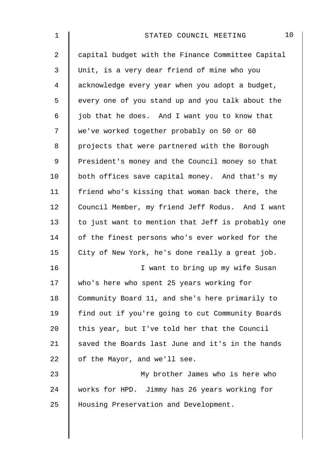| 1              | 10<br>STATED COUNCIL MEETING                      |
|----------------|---------------------------------------------------|
| $\overline{a}$ | capital budget with the Finance Committee Capital |
| 3              | Unit, is a very dear friend of mine who you       |
| $\overline{4}$ | acknowledge every year when you adopt a budget,   |
| 5              | every one of you stand up and you talk about the  |
| 6              | job that he does. And I want you to know that     |
| 7              | we've worked together probably on 50 or 60        |
| 8              | projects that were partnered with the Borough     |
| $\mathsf 9$    | President's money and the Council money so that   |
| 10             | both offices save capital money. And that's my    |
| 11             | friend who's kissing that woman back there, the   |
| 12             | Council Member, my friend Jeff Rodus. And I want  |
| 13             | to just want to mention that Jeff is probably one |
| 14             | of the finest persons who's ever worked for the   |
| 15             | City of New York, he's done really a great job.   |
| 16             | I want to bring up my wife Susan                  |
| 17             | who's here who spent 25 years working for         |
| 18             | Community Board 11, and she's here primarily to   |
| 19             | find out if you're going to cut Community Boards  |
| 20             | this year, but I've told her that the Council     |
| 21             | saved the Boards last June and it's in the hands  |
| 22             | of the Mayor, and we'll see.                      |
| 23             | My brother James who is here who                  |
| 24             | works for HPD. Jimmy has 26 years working for     |
| 25             | Housing Preservation and Development.             |
|                |                                                   |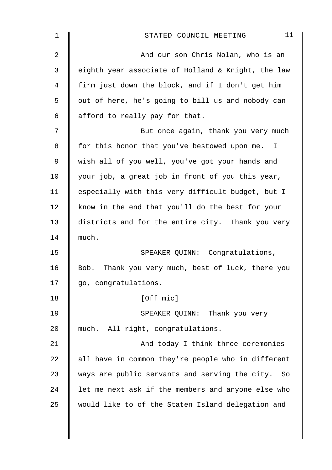| 1              | 11<br>STATED COUNCIL MEETING                         |
|----------------|------------------------------------------------------|
| $\overline{2}$ | And our son Chris Nolan, who is an                   |
| 3              | eighth year associate of Holland & Knight, the law   |
| 4              | firm just down the block, and if I don't get him     |
| 5              | out of here, he's going to bill us and nobody can    |
| 6              | afford to really pay for that.                       |
| 7              | But once again, thank you very much                  |
| 8              | for this honor that you've bestowed upon me. I       |
| $\mathsf 9$    | wish all of you well, you've got your hands and      |
| 10             | your job, a great job in front of you this year,     |
| 11             | especially with this very difficult budget, but I    |
| 12             | know in the end that you'll do the best for your     |
| 13             | districts and for the entire city. Thank you very    |
| 14             | much.                                                |
| 15             | SPEAKER QUINN: Congratulations,                      |
| 16             | Bob. Thank you very much, best of luck, there you    |
| 17             | go, congratulations.                                 |
| 18             | [Off mic]                                            |
| 19             | SPEAKER QUINN: Thank you very                        |
| 20             | much. All right, congratulations.                    |
| 21             | And today I think three ceremonies                   |
| 22             | all have in common they're people who in different   |
| 23             | ways are public servants and serving the city.<br>So |
| 24             | let me next ask if the members and anyone else who   |
| 25             | would like to of the Staten Island delegation and    |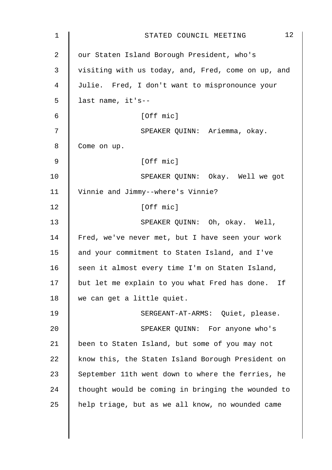| $\mathbf 1$ | 12<br>STATED COUNCIL MEETING                       |
|-------------|----------------------------------------------------|
| 2           | our Staten Island Borough President, who's         |
| 3           | visiting with us today, and, Fred, come on up, and |
| 4           | Julie. Fred, I don't want to mispronounce your     |
| 5           | last name, it's--                                  |
| 6           | [Off mic]                                          |
| 7           | SPEAKER QUINN: Ariemma, okay.                      |
| 8           | Come on up.                                        |
| $\mathsf 9$ | [Off mic]                                          |
| 10          | SPEAKER QUINN: Okay. Well we got                   |
| 11          | Vinnie and Jimmy--where's Vinnie?                  |
| 12          | [Off mic]                                          |
| 13          | SPEAKER QUINN: Oh, okay. Well,                     |
| 14          | Fred, we've never met, but I have seen your work   |
| 15          | and your commitment to Staten Island, and I've     |
| 16          | seen it almost every time I'm on Staten Island,    |
| 17          | but let me explain to you what Fred has done. If   |
| 18          | we can get a little quiet.                         |
| 19          | SERGEANT-AT-ARMS: Quiet, please.                   |
| 20          | SPEAKER QUINN: For anyone who's                    |
| 21          | been to Staten Island, but some of you may not     |
| 22          | know this, the Staten Island Borough President on  |
| 23          | September 11th went down to where the ferries, he  |
| 24          | thought would be coming in bringing the wounded to |
| 25          | help triage, but as we all know, no wounded came   |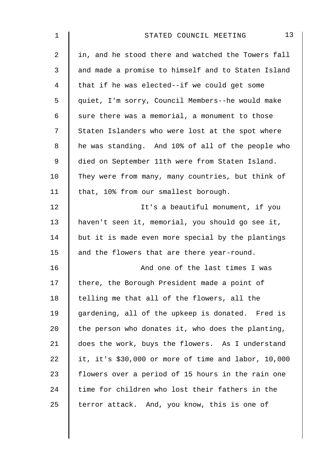| 1  | 13<br>STATED COUNCIL MEETING                        |
|----|-----------------------------------------------------|
| 2  | in, and he stood there and watched the Towers fall  |
| 3  | and made a promise to himself and to Staten Island  |
| 4  | that if he was elected--if we could get some        |
| 5  | quiet, I'm sorry, Council Members--he would make    |
| 6  | sure there was a memorial, a monument to those      |
| 7  | Staten Islanders who were lost at the spot where    |
| 8  | he was standing. And 10% of all of the people who   |
| 9  | died on September 11th were from Staten Island.     |
| 10 | They were from many, many countries, but think of   |
| 11 | that, 10% from our smallest borough.                |
| 12 | It's a beautiful monument, if you                   |
| 13 | haven't seen it, memorial, you should go see it,    |
| 14 | but it is made even more special by the plantings   |
| 15 | and the flowers that are there year-round.          |
| 16 | And one of the last times I was                     |
| 17 | there, the Borough President made a point of        |
| 18 | telling me that all of the flowers, all the         |
| 19 | gardening, all of the upkeep is donated. Fred is    |
| 20 | the person who donates it, who does the planting,   |
| 21 | does the work, buys the flowers. As I understand    |
| 22 | it, it's \$30,000 or more of time and labor, 10,000 |
| 23 | flowers over a period of 15 hours in the rain one   |
| 24 | time for children who lost their fathers in the     |
| 25 | terror attack. And, you know, this is one of        |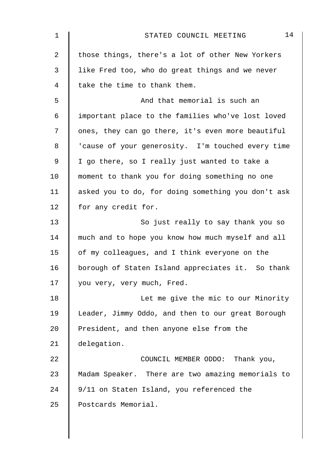| 1              | 14<br>STATED COUNCIL MEETING                       |
|----------------|----------------------------------------------------|
| $\overline{a}$ | those things, there's a lot of other New Yorkers   |
| 3              | like Fred too, who do great things and we never    |
| 4              | take the time to thank them.                       |
| 5              | And that memorial is such an                       |
| 6              | important place to the families who've lost loved  |
| 7              | ones, they can go there, it's even more beautiful  |
| 8              | 'cause of your generosity. I'm touched every time  |
| $\mathsf 9$    | I go there, so I really just wanted to take a      |
| 10             | moment to thank you for doing something no one     |
| 11             | asked you to do, for doing something you don't ask |
| 12             | for any credit for.                                |
| 13             | So just really to say thank you so                 |
| 14             | much and to hope you know how much myself and all  |
| 15             | of my colleagues, and I think everyone on the      |
| 16             | borough of Staten Island appreciates it. So thank  |
| 17             | you very, very much, Fred.                         |
| 18             | Let me give the mic to our Minority                |
| 19             | Leader, Jimmy Oddo, and then to our great Borough  |
| 20             | President, and then anyone else from the           |
| 21             | delegation.                                        |
| 22             | COUNCIL MEMBER ODDO: Thank you,                    |
| 23             | Madam Speaker. There are two amazing memorials to  |
| 24             | 9/11 on Staten Island, you referenced the          |
| 25             | Postcards Memorial.                                |
|                |                                                    |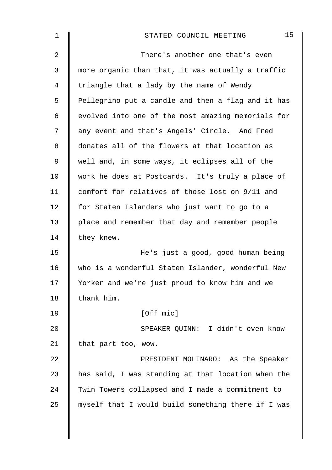| 1              | 15<br>STATED COUNCIL MEETING                       |
|----------------|----------------------------------------------------|
| $\overline{2}$ | There's another one that's even                    |
| 3              | more organic than that, it was actually a traffic  |
| 4              | triangle that a lady by the name of Wendy          |
| 5              | Pellegrino put a candle and then a flag and it has |
| 6              | evolved into one of the most amazing memorials for |
| 7              | any event and that's Angels' Circle. And Fred      |
| 8              | donates all of the flowers at that location as     |
| $\mathsf 9$    | well and, in some ways, it eclipses all of the     |
| 10             | work he does at Postcards. It's truly a place of   |
| 11             | comfort for relatives of those lost on 9/11 and    |
| 12             | for Staten Islanders who just want to go to a      |
| 13             | place and remember that day and remember people    |
| 14             | they knew.                                         |
| 15             | He's just a good, good human being                 |
| 16             | who is a wonderful Staten Islander, wonderful New  |
| 17             | Yorker and we're just proud to know him and we     |
| 18             | thank him.                                         |
| 19             | [Off mic]                                          |
| 20             | SPEAKER QUINN: I didn't even know                  |
| 21             | that part too, wow.                                |
| 22             | PRESIDENT MOLINARO: As the Speaker                 |
| 23             | has said, I was standing at that location when the |
| 24             | Twin Towers collapsed and I made a commitment to   |
| 25             | myself that I would build something there if I was |
|                |                                                    |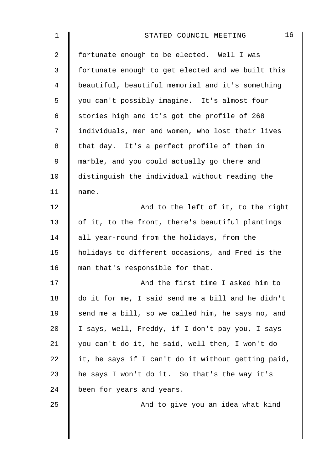| 1              | 16<br>STATED COUNCIL MEETING                       |
|----------------|----------------------------------------------------|
| $\overline{2}$ | fortunate enough to be elected. Well I was         |
| 3              | fortunate enough to get elected and we built this  |
| $\overline{4}$ | beautiful, beautiful memorial and it's something   |
| 5              | you can't possibly imagine. It's almost four       |
| 6              | stories high and it's got the profile of 268       |
| 7              | individuals, men and women, who lost their lives   |
| 8              | that day. It's a perfect profile of them in        |
| $\mathsf 9$    | marble, and you could actually go there and        |
| 10             | distinguish the individual without reading the     |
| 11             | name.                                              |
| 12             | And to the left of it, to the right                |
| 13             | of it, to the front, there's beautiful plantings   |
| 14             | all year-round from the holidays, from the         |
| 15             | holidays to different occasions, and Fred is the   |
| 16             | man that's responsible for that.                   |
| 17             | And the first time I asked him to                  |
| 18             | do it for me, I said send me a bill and he didn't  |
| 19             | send me a bill, so we called him, he says no, and  |
| 20             | I says, well, Freddy, if I don't pay you, I says   |
| 21             | you can't do it, he said, well then, I won't do    |
| 22             | it, he says if I can't do it without getting paid, |
| 23             | he says I won't do it. So that's the way it's      |
| 24             | been for years and years.                          |
| 25             | And to give you an idea what kind                  |
|                |                                                    |
|                |                                                    |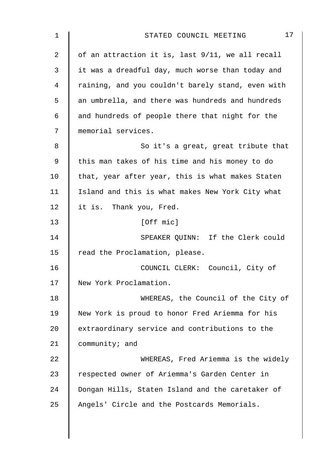| 1  | 17<br>STATED COUNCIL MEETING                      |
|----|---------------------------------------------------|
| 2  | of an attraction it is, last 9/11, we all recall  |
| 3  | it was a dreadful day, much worse than today and  |
| 4  | raining, and you couldn't barely stand, even with |
| 5  | an umbrella, and there was hundreds and hundreds  |
| 6  | and hundreds of people there that night for the   |
| 7  | memorial services.                                |
| 8  | So it's a great, great tribute that               |
| 9  | this man takes of his time and his money to do    |
| 10 | that, year after year, this is what makes Staten  |
| 11 | Island and this is what makes New York City what  |
| 12 | it is. Thank you, Fred.                           |
| 13 | [Off mic]                                         |
| 14 | SPEAKER QUINN: If the Clerk could                 |
| 15 | read the Proclamation, please.                    |
| 16 | COUNCIL CLERK: Council, City of                   |
| 17 | New York Proclamation.                            |
| 18 | WHEREAS, the Council of the City of               |
| 19 | New York is proud to honor Fred Ariemma for his   |
| 20 | extraordinary service and contributions to the    |
| 21 | community; and                                    |
| 22 | WHEREAS, Fred Ariemma is the widely               |
| 23 | respected owner of Ariemma's Garden Center in     |
| 24 | Dongan Hills, Staten Island and the caretaker of  |
| 25 | Angels' Circle and the Postcards Memorials.       |
|    |                                                   |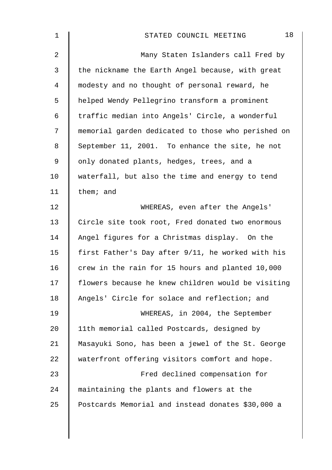| 1  | 18<br>STATED COUNCIL MEETING                       |
|----|----------------------------------------------------|
| 2  | Many Staten Islanders call Fred by                 |
| 3  | the nickname the Earth Angel because, with great   |
| 4  | modesty and no thought of personal reward, he      |
| 5  | helped Wendy Pellegrino transform a prominent      |
| 6  | traffic median into Angels' Circle, a wonderful    |
| 7  | memorial garden dedicated to those who perished on |
| 8  | September 11, 2001. To enhance the site, he not    |
| 9  | only donated plants, hedges, trees, and a          |
| 10 | waterfall, but also the time and energy to tend    |
| 11 | them; and                                          |
| 12 | WHEREAS, even after the Angels'                    |
| 13 | Circle site took root, Fred donated two enormous   |
| 14 | Angel figures for a Christmas display. On the      |
| 15 | first Father's Day after 9/11, he worked with his  |
| 16 | crew in the rain for 15 hours and planted 10,000   |
| 17 | flowers because he knew children would be visiting |
| 18 | Angels' Circle for solace and reflection; and      |
| 19 | WHEREAS, in 2004, the September                    |
| 20 | 11th memorial called Postcards, designed by        |
| 21 | Masayuki Sono, has been a jewel of the St. George  |
| 22 | waterfront offering visitors comfort and hope.     |
| 23 | Fred declined compensation for                     |
| 24 | maintaining the plants and flowers at the          |
| 25 | Postcards Memorial and instead donates \$30,000 a  |
|    |                                                    |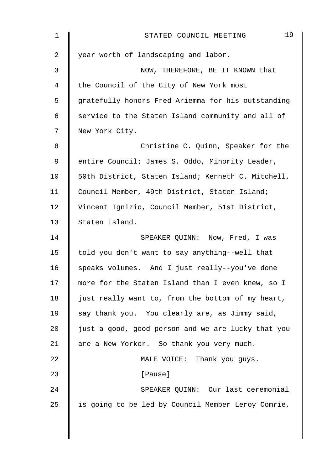| $\mathbf 1$ | 19<br>STATED COUNCIL MEETING                       |
|-------------|----------------------------------------------------|
| 2           | year worth of landscaping and labor.               |
| 3           | NOW, THEREFORE, BE IT KNOWN that                   |
| 4           | the Council of the City of New York most           |
| 5           | gratefully honors Fred Ariemma for his outstanding |
| 6           | service to the Staten Island community and all of  |
| 7           | New York City.                                     |
| 8           | Christine C. Quinn, Speaker for the                |
| 9           | entire Council; James S. Oddo, Minority Leader,    |
| 10          | 50th District, Staten Island; Kenneth C. Mitchell, |
| 11          | Council Member, 49th District, Staten Island;      |
| 12          | Vincent Ignizio, Council Member, 51st District,    |
| 13          | Staten Island.                                     |
| 14          | SPEAKER QUINN: Now, Fred, I was                    |
| 15          | told you don't want to say anything--well that     |
| 16          | speaks volumes. And I just really--you've done     |
| 17          | more for the Staten Island than I even knew, so I  |
| 18          | just really want to, from the bottom of my heart,  |
| 19          | say thank you. You clearly are, as Jimmy said,     |
| 20          | just a good, good person and we are lucky that you |
| 21          | are a New Yorker. So thank you very much.          |
| 22          | MALE VOICE: Thank you guys.                        |
| 23          | [Pause]                                            |
| 24          | SPEAKER QUINN: Our last ceremonial                 |
| 25          | is going to be led by Council Member Leroy Comrie, |
|             |                                                    |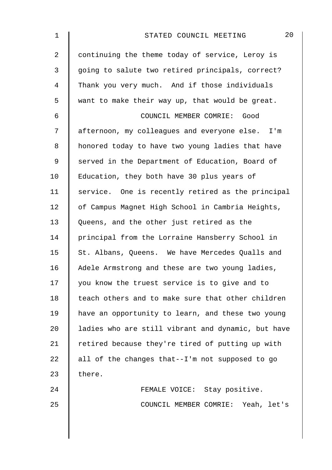| $\mathbf 1$ | 20<br>STATED COUNCIL MEETING                       |
|-------------|----------------------------------------------------|
| 2           | continuing the theme today of service, Leroy is    |
| 3           | going to salute two retired principals, correct?   |
| 4           | Thank you very much. And if those individuals      |
| 5           | want to make their way up, that would be great.    |
| 6           | COUNCIL MEMBER COMRIE: Good                        |
| 7           | afternoon, my colleagues and everyone else. I'm    |
| 8           | honored today to have two young ladies that have   |
| 9           | served in the Department of Education, Board of    |
| 10          | Education, they both have 30 plus years of         |
| 11          | service. One is recently retired as the principal  |
| 12          | of Campus Magnet High School in Cambria Heights,   |
| 13          | Queens, and the other just retired as the          |
| 14          | principal from the Lorraine Hansberry School in    |
| 15          | St. Albans, Queens. We have Mercedes Qualls and    |
| 16          | Adele Armstrong and these are two young ladies,    |
| 17          | you know the truest service is to give and to      |
| 18          | teach others and to make sure that other children  |
| 19          | have an opportunity to learn, and these two young  |
| 20          | ladies who are still vibrant and dynamic, but have |
| 21          | retired because they're tired of putting up with   |
| 22          | all of the changes that--I'm not supposed to go    |
| 23          | there.                                             |
| 24          | FEMALE VOICE: Stay positive.                       |
| 25          | COUNCIL MEMBER COMRIE: Yeah, let's                 |
|             |                                                    |
|             |                                                    |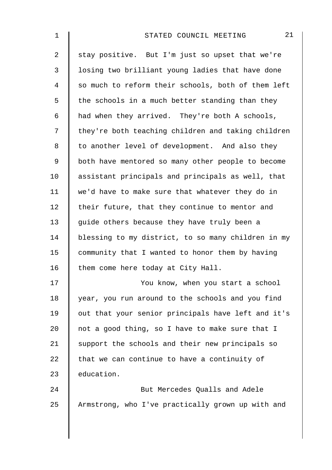| 1              | 21<br>STATED COUNCIL MEETING                       |
|----------------|----------------------------------------------------|
| $\overline{a}$ | stay positive. But I'm just so upset that we're    |
| 3              | losing two brilliant young ladies that have done   |
| 4              | so much to reform their schools, both of them left |
| 5              | the schools in a much better standing than they    |
| 6              | had when they arrived. They're both A schools,     |
| 7              | they're both teaching children and taking children |
| 8              | to another level of development. And also they     |
| $\mathsf 9$    | both have mentored so many other people to become  |
| 10             | assistant principals and principals as well, that  |
| 11             | we'd have to make sure that whatever they do in    |
| 12             | their future, that they continue to mentor and     |
| 13             | guide others because they have truly been a        |
| 14             | blessing to my district, to so many children in my |
| 15             | community that I wanted to honor them by having    |
| 16             | them come here today at City Hall.                 |
| 17             | You know, when you start a school                  |
| 18             | year, you run around to the schools and you find   |
| 19             | out that your senior principals have left and it's |
| 20             | not a good thing, so I have to make sure that I    |
| 21             | support the schools and their new principals so    |
| 22             | that we can continue to have a continuity of       |
| 23             | education.                                         |
| 24             | But Mercedes Qualls and Adele                      |
| 25             | Armstrong, who I've practically grown up with and  |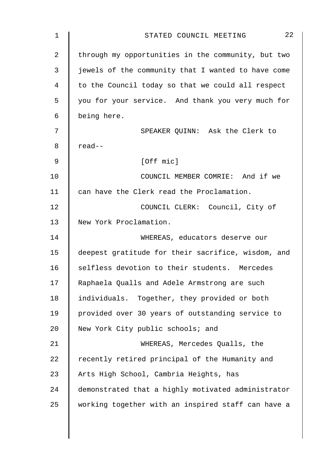| $\mathbf 1$ | 22<br>STATED COUNCIL MEETING                       |
|-------------|----------------------------------------------------|
| 2           | through my opportunities in the community, but two |
| 3           | jewels of the community that I wanted to have come |
| 4           | to the Council today so that we could all respect  |
| 5           | you for your service. And thank you very much for  |
| 6           | being here.                                        |
| 7           | SPEAKER QUINN: Ask the Clerk to                    |
| 8           | read--                                             |
| 9           | [Off mic]                                          |
| 10          | COUNCIL MEMBER COMRIE: And if we                   |
| 11          | can have the Clerk read the Proclamation.          |
| 12          | COUNCIL CLERK: Council, City of                    |
| 13          | New York Proclamation.                             |
| 14          | WHEREAS, educators deserve our                     |
| 15          | deepest gratitude for their sacrifice, wisdom, and |
| 16          | selfless devotion to their students. Mercedes      |
| 17          | Raphaela Qualls and Adele Armstrong are such       |
| 18          | individuals. Together, they provided or both       |
| 19          | provided over 30 years of outstanding service to   |
| 20          | New York City public schools; and                  |
| 21          | WHEREAS, Mercedes Qualls, the                      |
| 22          | recently retired principal of the Humanity and     |
| 23          | Arts High School, Cambria Heights, has             |
| 24          | demonstrated that a highly motivated administrator |
| 25          | working together with an inspired staff can have a |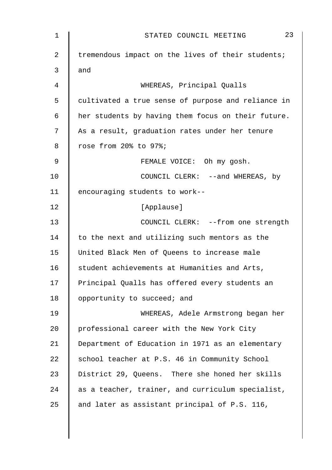| $\mathbf 1$    | 23<br>STATED COUNCIL MEETING                       |
|----------------|----------------------------------------------------|
| 2              | tremendous impact on the lives of their students;  |
| 3              | and                                                |
| $\overline{4}$ | WHEREAS, Principal Qualls                          |
| 5              | cultivated a true sense of purpose and reliance in |
| $\epsilon$     | her students by having them focus on their future. |
| 7              | As a result, graduation rates under her tenure     |
| 8              | rose from 20% to 97%;                              |
| $\mathsf 9$    | FEMALE VOICE: Oh my gosh.                          |
| 10             | COUNCIL CLERK: --and WHEREAS, by                   |
| 11             | encouraging students to work--                     |
| 12             | [Applause]                                         |
| 13             | COUNCIL CLERK: -- from one strength                |
| 14             | to the next and utilizing such mentors as the      |
| 15             | United Black Men of Queens to increase male        |
| 16             | student achievements at Humanities and Arts,       |
| 17             | Principal Qualls has offered every students an     |
| 18             | opportunity to succeed; and                        |
| 19             | WHEREAS, Adele Armstrong began her                 |
| 20             | professional career with the New York City         |
| 21             | Department of Education in 1971 as an elementary   |
| 22             | school teacher at P.S. 46 in Community School      |
| 23             | District 29, Queens. There she honed her skills    |
| 24             | as a teacher, trainer, and curriculum specialist,  |
| 25             | and later as assistant principal of P.S. 116,      |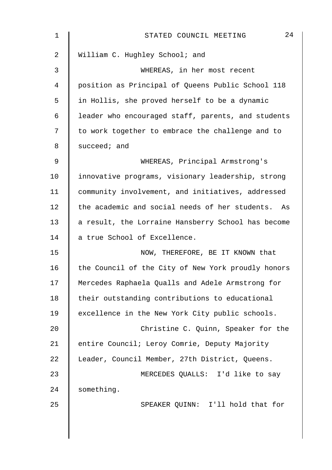| 1  | 24<br>STATED COUNCIL MEETING                       |
|----|----------------------------------------------------|
| 2  | William C. Hughley School; and                     |
| 3  | WHEREAS, in her most recent                        |
| 4  | position as Principal of Queens Public School 118  |
| 5  | in Hollis, she proved herself to be a dynamic      |
| 6  | leader who encouraged staff, parents, and students |
| 7  | to work together to embrace the challenge and to   |
| 8  | succeed; and                                       |
| 9  | WHEREAS, Principal Armstrong's                     |
| 10 | innovative programs, visionary leadership, strong  |
| 11 | community involvement, and initiatives, addressed  |
| 12 | the academic and social needs of her students. As  |
| 13 | a result, the Lorraine Hansberry School has become |
| 14 | a true School of Excellence.                       |
| 15 | NOW, THEREFORE, BE IT KNOWN that                   |
| 16 | the Council of the City of New York proudly honors |
| 17 | Mercedes Raphaela Qualls and Adele Armstrong for   |
| 18 | their outstanding contributions to educational     |
| 19 | excellence in the New York City public schools.    |
| 20 | Christine C. Quinn, Speaker for the                |
| 21 | entire Council; Leroy Comrie, Deputy Majority      |
| 22 | Leader, Council Member, 27th District, Queens.     |
| 23 | MERCEDES QUALLS: I'd like to say                   |
| 24 | something.                                         |
| 25 | SPEAKER QUINN: I'll hold that for                  |
|    |                                                    |
|    |                                                    |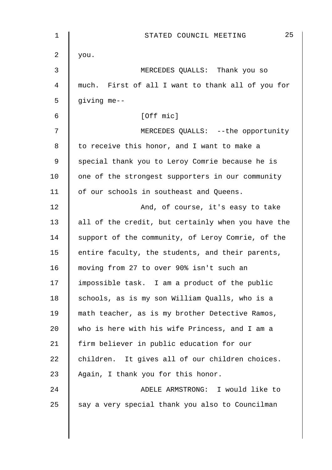| 1  | 25<br>STATED COUNCIL MEETING                       |
|----|----------------------------------------------------|
| 2  | you.                                               |
| 3  | MERCEDES QUALLS: Thank you so                      |
| 4  | much. First of all I want to thank all of you for  |
| 5  | giving me--                                        |
| 6  | [Off mic]                                          |
| 7  | MERCEDES QUALLS: --the opportunity                 |
| 8  | to receive this honor, and I want to make a        |
| 9  | special thank you to Leroy Comrie because he is    |
| 10 | one of the strongest supporters in our community   |
| 11 | of our schools in southeast and Queens.            |
| 12 | And, of course, it's easy to take                  |
| 13 | all of the credit, but certainly when you have the |
| 14 | support of the community, of Leroy Comrie, of the  |
| 15 | entire faculty, the students, and their parents,   |
| 16 | moving from 27 to over 90% isn't such an           |
| 17 | impossible task. I am a product of the public      |
| 18 | schools, as is my son William Qualls, who is a     |
| 19 | math teacher, as is my brother Detective Ramos,    |
| 20 | who is here with his wife Princess, and I am a     |
| 21 | firm believer in public education for our          |
| 22 | children. It gives all of our children choices.    |
| 23 | Again, I thank you for this honor.                 |
| 24 | ADELE ARMSTRONG: I would like to                   |
| 25 | say a very special thank you also to Councilman    |
|    |                                                    |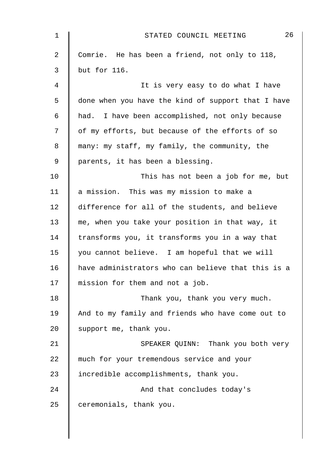| 1  | 26<br>STATED COUNCIL MEETING                       |
|----|----------------------------------------------------|
| 2  | Comrie. He has been a friend, not only to 118,     |
| 3  | but for 116.                                       |
| 4  | It is very easy to do what I have                  |
| 5  | done when you have the kind of support that I have |
| 6  | had. I have been accomplished, not only because    |
| 7  | of my efforts, but because of the efforts of so    |
| 8  | many: my staff, my family, the community, the      |
| 9  | parents, it has been a blessing.                   |
| 10 | This has not been a job for me, but                |
| 11 | a mission. This was my mission to make a           |
| 12 | difference for all of the students, and believe    |
| 13 | me, when you take your position in that way, it    |
| 14 | transforms you, it transforms you in a way that    |
| 15 | you cannot believe. I am hopeful that we will      |
| 16 | have administrators who can believe that this is a |
| 17 | mission for them and not a job.                    |
| 18 | Thank you, thank you very much.                    |
| 19 | And to my family and friends who have come out to  |
| 20 | support me, thank you.                             |
| 21 | SPEAKER QUINN: Thank you both very                 |
| 22 | much for your tremendous service and your          |
| 23 | incredible accomplishments, thank you.             |
| 24 | And that concludes today's                         |
| 25 | ceremonials, thank you.                            |
|    |                                                    |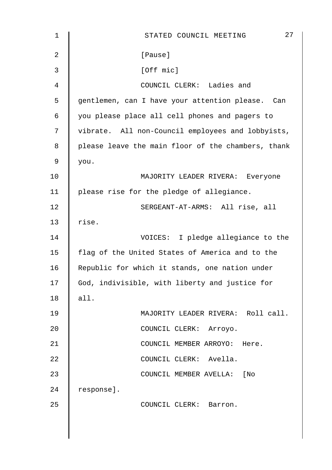| $\mathbf{1}$ | 27<br>STATED COUNCIL MEETING                       |
|--------------|----------------------------------------------------|
| 2            | [Pause]                                            |
| 3            | [Off mic]                                          |
| 4            | COUNCIL CLERK: Ladies and                          |
| 5            | gentlemen, can I have your attention please. Can   |
| 6            | you please place all cell phones and pagers to     |
| 7            | vibrate. All non-Council employees and lobbyists,  |
| 8            | please leave the main floor of the chambers, thank |
| 9            | you.                                               |
| 10           | MAJORITY LEADER RIVERA: Everyone                   |
| 11           | please rise for the pledge of allegiance.          |
| 12           | SERGEANT-AT-ARMS: All rise, all                    |
| 13           | rise.                                              |
| 14           | VOICES: I pledge allegiance to the                 |
| 15           | flag of the United States of America and to the    |
| 16           | Republic for which it stands, one nation under     |
| 17           | God, indivisible, with liberty and justice for     |
| 18           | all.                                               |
| 19           | MAJORITY LEADER RIVERA: Roll call.                 |
| 20           | COUNCIL CLERK: Arroyo.                             |
| 21           | COUNCIL MEMBER ARROYO: Here.                       |
| 22           | COUNCIL CLERK: Avella.                             |
| 23           | COUNCIL MEMBER AVELLA: [No                         |
| 24           | response].                                         |
| 25           | COUNCIL CLERK: Barron.                             |
|              |                                                    |
|              |                                                    |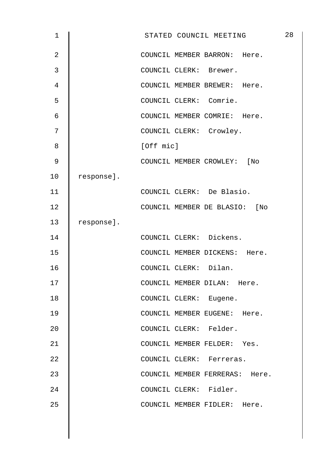| $\mathbf 1$    |            | STATED COUNCIL MEETING         | 28 |
|----------------|------------|--------------------------------|----|
| $\overline{2}$ |            | COUNCIL MEMBER BARRON: Here.   |    |
| $\mathbf{3}$   |            | COUNCIL CLERK: Brewer.         |    |
| $\overline{4}$ |            | COUNCIL MEMBER BREWER: Here.   |    |
| 5              |            | COUNCIL CLERK: Comrie.         |    |
| 6              |            | COUNCIL MEMBER COMRIE: Here.   |    |
| 7              |            | COUNCIL CLERK: Crowley.        |    |
| 8              |            | [Off mic]                      |    |
| 9              |            | COUNCIL MEMBER CROWLEY: [No    |    |
| 10             | response]. |                                |    |
| 11             |            | COUNCIL CLERK: De Blasio.      |    |
| 12             |            | COUNCIL MEMBER DE BLASIO: [No  |    |
| 13             | response]. |                                |    |
| 14             |            | COUNCIL CLERK: Dickens.        |    |
| 15             |            | COUNCIL MEMBER DICKENS: Here.  |    |
| 16             |            | COUNCIL CLERK: Dilan.          |    |
| 17             |            | COUNCIL MEMBER DILAN: Here.    |    |
| 18             |            | COUNCIL CLERK: Eugene.         |    |
| 19             |            | COUNCIL MEMBER EUGENE: Here.   |    |
| 20             |            | COUNCIL CLERK: Felder.         |    |
| 21             |            | COUNCIL MEMBER FELDER: Yes.    |    |
| 22             |            | COUNCIL CLERK: Ferreras.       |    |
| 23             |            | COUNCIL MEMBER FERRERAS: Here. |    |
| 24             |            | COUNCIL CLERK: Fidler.         |    |
| 25             |            | COUNCIL MEMBER FIDLER: Here.   |    |
|                |            |                                |    |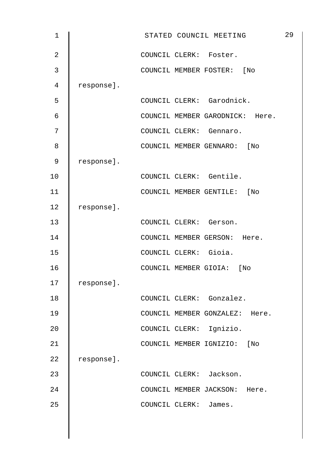| $\mathbf 1$    |            | STATED COUNCIL MEETING          | 29 |
|----------------|------------|---------------------------------|----|
| $\overline{2}$ |            | COUNCIL CLERK: Foster.          |    |
| 3              |            | COUNCIL MEMBER FOSTER: [No      |    |
| 4              | response]. |                                 |    |
| 5              |            | COUNCIL CLERK: Garodnick.       |    |
| 6              |            | COUNCIL MEMBER GARODNICK: Here. |    |
| 7              |            | COUNCIL CLERK: Gennaro.         |    |
| 8              |            | COUNCIL MEMBER GENNARO: [No     |    |
| 9              | response]. |                                 |    |
| 10             |            | COUNCIL CLERK: Gentile.         |    |
| 11             |            | COUNCIL MEMBER GENTILE: [No     |    |
| 12             | response]. |                                 |    |
| 13             |            | COUNCIL CLERK: Gerson.          |    |
| 14             |            | COUNCIL MEMBER GERSON: Here.    |    |
| 15             |            | COUNCIL CLERK: Gioia.           |    |
| 16             |            | COUNCIL MEMBER GIOIA: [No       |    |
| 17             | response]. |                                 |    |
| 18             |            | COUNCIL CLERK: Gonzalez.        |    |
| 19             |            | COUNCIL MEMBER GONZALEZ: Here.  |    |
| 20             |            | COUNCIL CLERK: Ignizio.         |    |
| 21             |            | COUNCIL MEMBER IGNIZIO: [No     |    |
| 22             | response]. |                                 |    |
| 23             |            | COUNCIL CLERK: Jackson.         |    |
| 24             |            | COUNCIL MEMBER JACKSON: Here.   |    |
| 25             |            | COUNCIL CLERK: James.           |    |
|                |            |                                 |    |
|                |            |                                 |    |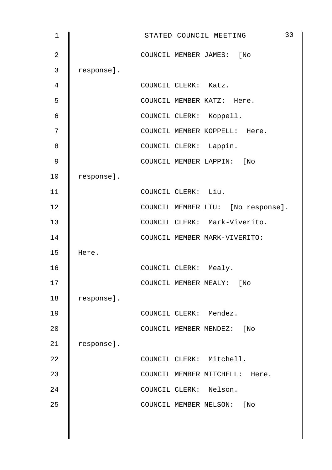| $\mathbf 1$    |            | 30<br>STATED COUNCIL MEETING       |
|----------------|------------|------------------------------------|
| $\overline{2}$ |            | COUNCIL MEMBER JAMES: [No          |
| 3              | response]. |                                    |
| 4              |            | COUNCIL CLERK: Katz.               |
| 5              |            | COUNCIL MEMBER KATZ: Here.         |
| 6              |            | COUNCIL CLERK: Koppell.            |
| 7              |            | COUNCIL MEMBER KOPPELL: Here.      |
| 8              |            | COUNCIL CLERK: Lappin.             |
| 9              |            | COUNCIL MEMBER LAPPIN: [No         |
| 10             | response]. |                                    |
| 11             |            | COUNCIL CLERK: Liu.                |
| 12             |            | COUNCIL MEMBER LIU: [No response]. |
| 13             |            | COUNCIL CLERK: Mark-Viverito.      |
| 14             |            | COUNCIL MEMBER MARK-VIVERITO:      |
| 15             | Here.      |                                    |
| 16             |            | COUNCIL CLERK: Mealy.              |
| 17             |            | COUNCIL MEMBER MEALY:<br>[No       |
| 18             | response]. |                                    |
| 19             |            | COUNCIL CLERK: Mendez.             |
| 20             |            | COUNCIL MEMBER MENDEZ:<br>[ No     |
| 21             | response]. |                                    |
| 22             |            | COUNCIL CLERK: Mitchell.           |
| 23             |            | COUNCIL MEMBER MITCHELL: Here.     |
| 24             |            | COUNCIL CLERK: Nelson.             |
| 25             |            | COUNCIL MEMBER NELSON: [No         |
|                |            |                                    |
|                |            |                                    |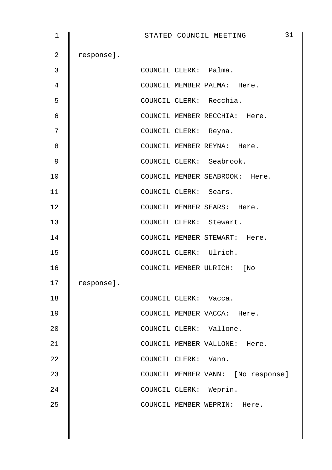| 1               |            | STATED COUNCIL MEETING             | 31 |
|-----------------|------------|------------------------------------|----|
| $\overline{a}$  | response]. |                                    |    |
| 3               |            | COUNCIL CLERK: Palma.              |    |
| 4               |            | COUNCIL MEMBER PALMA: Here.        |    |
| 5               |            | COUNCIL CLERK: Recchia.            |    |
| $6\phantom{1}6$ |            | COUNCIL MEMBER RECCHIA: Here.      |    |
| 7               |            | COUNCIL CLERK: Reyna.              |    |
| 8               |            | COUNCIL MEMBER REYNA: Here.        |    |
| 9               |            | COUNCIL CLERK: Seabrook.           |    |
| 10              |            | COUNCIL MEMBER SEABROOK: Here.     |    |
| 11              |            | COUNCIL CLERK: Sears.              |    |
| 12              |            | COUNCIL MEMBER SEARS: Here.        |    |
| 13              |            | COUNCIL CLERK: Stewart.            |    |
| 14              |            | COUNCIL MEMBER STEWART: Here.      |    |
| 15              |            | COUNCIL CLERK: Ulrich.             |    |
| 16              |            | COUNCIL MEMBER ULRICH: [No         |    |
| 17              | response]. |                                    |    |
| 18              |            | COUNCIL CLERK: Vacca.              |    |
| 19              |            | COUNCIL MEMBER VACCA: Here.        |    |
| 20              |            | COUNCIL CLERK: Vallone.            |    |
| 21              |            | COUNCIL MEMBER VALLONE: Here.      |    |
| 22              |            | COUNCIL CLERK: Vann.               |    |
| 23              |            | COUNCIL MEMBER VANN: [No response] |    |
| 24              |            | COUNCIL CLERK: Weprin.             |    |
| 25              |            | COUNCIL MEMBER WEPRIN: Here.       |    |
|                 |            |                                    |    |
|                 |            |                                    |    |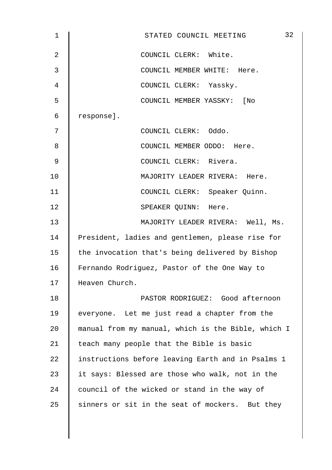| $\mathbf 1$    | 32<br>STATED COUNCIL MEETING                       |
|----------------|----------------------------------------------------|
| $\overline{2}$ | COUNCIL CLERK: White.                              |
| 3              | COUNCIL MEMBER WHITE: Here.                        |
| 4              | COUNCIL CLERK: Yassky.                             |
| 5              | COUNCIL MEMBER YASSKY: [No                         |
| 6              | response].                                         |
| 7              | COUNCIL CLERK: Oddo.                               |
| 8              | COUNCIL MEMBER ODDO: Here.                         |
| $\mathsf 9$    | COUNCIL CLERK: Rivera.                             |
| 10             | MAJORITY LEADER RIVERA: Here.                      |
| 11             | COUNCIL CLERK: Speaker Quinn.                      |
| 12             | SPEAKER QUINN: Here.                               |
| 13             | MAJORITY LEADER RIVERA: Well, Ms.                  |
| 14             | President, ladies and gentlemen, please rise for   |
| 15             | the invocation that's being delivered by Bishop    |
| 16             | Fernando Rodriguez, Pastor of the One Way to       |
| 17             | Heaven Church.                                     |
| 18             | PASTOR RODRIGUEZ: Good afternoon                   |
| 19             | everyone. Let me just read a chapter from the      |
| 20             | manual from my manual, which is the Bible, which I |
| 21             | teach many people that the Bible is basic          |
| 22             | instructions before leaving Earth and in Psalms 1  |
| 23             | it says: Blessed are those who walk, not in the    |
| 24             | council of the wicked or stand in the way of       |
| 25             | sinners or sit in the seat of mockers. But they    |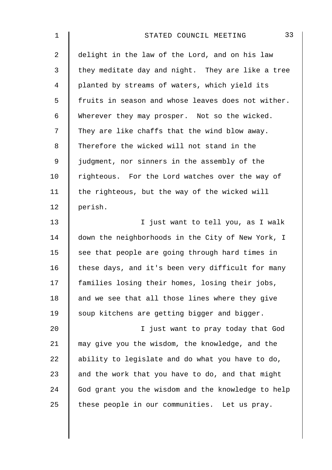| $\mathbf 1$    | 33<br>STATED COUNCIL MEETING                       |
|----------------|----------------------------------------------------|
| $\overline{2}$ | delight in the law of the Lord, and on his law     |
| 3              | they meditate day and night. They are like a tree  |
| $\overline{4}$ | planted by streams of waters, which yield its      |
| 5              | fruits in season and whose leaves does not wither. |
| 6              | Wherever they may prosper. Not so the wicked.      |
| 7              | They are like chaffs that the wind blow away.      |
| 8              | Therefore the wicked will not stand in the         |
| $\mathsf 9$    | judgment, nor sinners in the assembly of the       |
| 10             | righteous. For the Lord watches over the way of    |
| 11             | the righteous, but the way of the wicked will      |
| 12             | perish.                                            |
| 13             | I just want to tell you, as I walk                 |
| 14             | down the neighborhoods in the City of New York, I  |
| 15             | see that people are going through hard times in    |
| 16             | these days, and it's been very difficult for many  |
| 17             | families losing their homes, losing their jobs,    |
| 18             | and we see that all those lines where they give    |
| 19             | soup kitchens are getting bigger and bigger.       |
| 20             | I just want to pray today that God                 |
| 21             | may give you the wisdom, the knowledge, and the    |
| 22             | ability to legislate and do what you have to do,   |
| 23             | and the work that you have to do, and that might   |
| 24             | God grant you the wisdom and the knowledge to help |
| 25             | these people in our communities. Let us pray.      |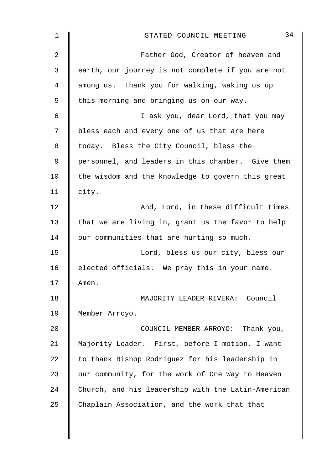| 1              | 34<br>STATED COUNCIL MEETING                       |
|----------------|----------------------------------------------------|
| $\overline{2}$ | Father God, Creator of heaven and                  |
| 3              | earth, our journey is not complete if you are not  |
| 4              | among us. Thank you for walking, waking us up      |
| 5              | this morning and bringing us on our way.           |
| 6              | I ask you, dear Lord, that you may                 |
| 7              | bless each and every one of us that are here       |
| 8              | today. Bless the City Council, bless the           |
| 9              | personnel, and leaders in this chamber. Give them  |
| 10             | the wisdom and the knowledge to govern this great  |
| 11             | city.                                              |
| 12             | And, Lord, in these difficult times                |
| 13             | that we are living in, grant us the favor to help  |
| 14             | our communities that are hurting so much.          |
| 15             | Lord, bless us our city, bless our                 |
| 16             | elected officials. We pray this in your name.      |
| 17             | Amen.                                              |
| 18             | MAJORITY LEADER RIVERA: Council                    |
| 19             | Member Arroyo.                                     |
| 20             | COUNCIL MEMBER ARROYO: Thank you,                  |
| 21             | Majority Leader. First, before I motion, I want    |
| 22             | to thank Bishop Rodriguez for his leadership in    |
| 23             | our community, for the work of One Way to Heaven   |
| 24             | Church, and his leadership with the Latin-American |
| 25             | Chaplain Association, and the work that that       |
|                |                                                    |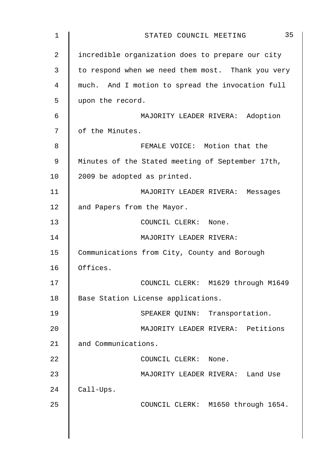| $\mathbf 1$    | 35<br>STATED COUNCIL MEETING                      |
|----------------|---------------------------------------------------|
| $\overline{2}$ | incredible organization does to prepare our city  |
| 3              | to respond when we need them most. Thank you very |
| 4              | much. And I motion to spread the invocation full  |
| 5              | upon the record.                                  |
| $\epsilon$     | MAJORITY LEADER RIVERA: Adoption                  |
| 7              | of the Minutes.                                   |
| 8              | FEMALE VOICE: Motion that the                     |
| 9              | Minutes of the Stated meeting of September 17th,  |
| 10             | 2009 be adopted as printed.                       |
| 11             | MAJORITY LEADER RIVERA: Messages                  |
| 12             | and Papers from the Mayor.                        |
| 13             | COUNCIL CLERK: None.                              |
| 14             | MAJORITY LEADER RIVERA:                           |
| 15             | Communications from City, County and Borough      |
| 16             | Offices.                                          |
| 17             | COUNCIL CLERK: M1629 through M1649                |
| 18             | Base Station License applications.                |
| 19             | SPEAKER QUINN: Transportation.                    |
| 20             | MAJORITY LEADER RIVERA: Petitions                 |
| 21             | and Communications.                               |
| 22             | COUNCIL CLERK: None.                              |
| 23             | MAJORITY LEADER RIVERA: Land Use                  |
| 24             | Call-Ups.                                         |
| 25             | COUNCIL CLERK: M1650 through 1654.                |
|                |                                                   |
|                |                                                   |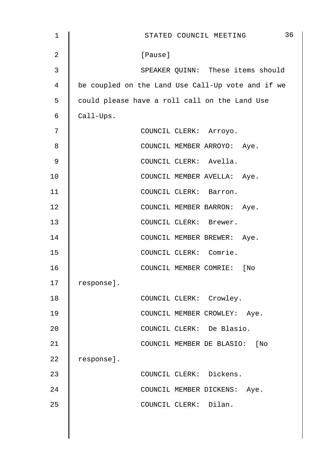| 1              | 36<br>STATED COUNCIL MEETING                      |
|----------------|---------------------------------------------------|
| $\overline{2}$ | [Pause]                                           |
| 3              | SPEAKER QUINN: These items should                 |
| 4              | be coupled on the Land Use Call-Up vote and if we |
| 5              | could please have a roll call on the Land Use     |
| 6              | Call-Ups.                                         |
| 7              | COUNCIL CLERK: Arroyo.                            |
| 8              | COUNCIL MEMBER ARROYO: Aye.                       |
| 9              | COUNCIL CLERK: Avella.                            |
| 10             | COUNCIL MEMBER AVELLA: Aye.                       |
| 11             | COUNCIL CLERK: Barron.                            |
| 12             | COUNCIL MEMBER BARRON: Aye.                       |
| 13             | COUNCIL CLERK: Brewer.                            |
| 14             | COUNCIL MEMBER BREWER: Aye.                       |
| 15             | COUNCIL CLERK: Comrie.                            |
| 16             | COUNCIL MEMBER COMRIE: [No                        |
| 17             | response].                                        |
| 18             | COUNCIL CLERK: Crowley.                           |
| 19             | COUNCIL MEMBER CROWLEY: Aye.                      |
| 20             | COUNCIL CLERK: De Blasio.                         |
| 21             | COUNCIL MEMBER DE BLASIO: [No                     |
| 22             | response].                                        |
| 23             | COUNCIL CLERK: Dickens.                           |
| 24             | COUNCIL MEMBER DICKENS: Aye.                      |
| 25             | COUNCIL CLERK: Dilan.                             |
|                |                                                   |
|                |                                                   |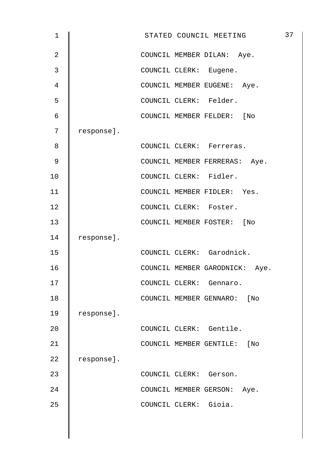| 1              |            |  | STATED COUNCIL MEETING        |                                | 37 |
|----------------|------------|--|-------------------------------|--------------------------------|----|
| $\overline{2}$ |            |  | COUNCIL MEMBER DILAN: Aye.    |                                |    |
| 3              |            |  | COUNCIL CLERK: Eugene.        |                                |    |
| 4              |            |  | COUNCIL MEMBER EUGENE: Aye.   |                                |    |
| 5              |            |  | COUNCIL CLERK: Felder.        |                                |    |
| $\epsilon$     |            |  | COUNCIL MEMBER FELDER: [No    |                                |    |
| 7              | response]. |  |                               |                                |    |
| 8              |            |  | COUNCIL CLERK: Ferreras.      |                                |    |
| 9              |            |  | COUNCIL MEMBER FERRERAS: Aye. |                                |    |
| 10             |            |  | COUNCIL CLERK: Fidler.        |                                |    |
| 11             |            |  | COUNCIL MEMBER FIDLER: Yes.   |                                |    |
| 12             |            |  | COUNCIL CLERK: Foster.        |                                |    |
| 13             |            |  | COUNCIL MEMBER FOSTER: [No    |                                |    |
| 14             | response]. |  |                               |                                |    |
| 15             |            |  | COUNCIL CLERK: Garodnick.     |                                |    |
| 16             |            |  |                               | COUNCIL MEMBER GARODNICK: Aye. |    |
| 17             |            |  | COUNCIL CLERK: Gennaro.       |                                |    |
| $18\,$         |            |  | COUNCIL MEMBER GENNARO: [No   |                                |    |
| 19             | response]. |  |                               |                                |    |
| 20             |            |  | COUNCIL CLERK: Gentile.       |                                |    |
| 21             |            |  | COUNCIL MEMBER GENTILE: [No   |                                |    |
| 22             | response]. |  |                               |                                |    |
| 23             |            |  | COUNCIL CLERK: Gerson.        |                                |    |
| 24             |            |  | COUNCIL MEMBER GERSON: Aye.   |                                |    |
| 25             |            |  | COUNCIL CLERK: Gioia.         |                                |    |
|                |            |  |                               |                                |    |
|                |            |  |                               |                                |    |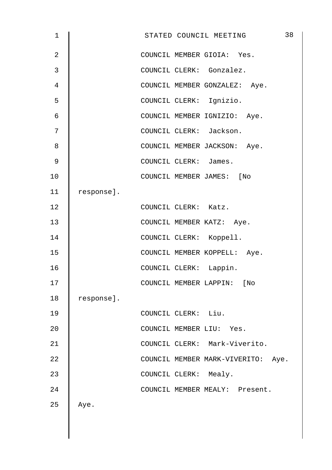| $\mathbf 1$    |            | STATED COUNCIL MEETING             | 38 |
|----------------|------------|------------------------------------|----|
| $\overline{2}$ |            | COUNCIL MEMBER GIOIA: Yes.         |    |
| 3              |            | COUNCIL CLERK: Gonzalez.           |    |
| 4              |            | COUNCIL MEMBER GONZALEZ: Aye.      |    |
| 5              |            | COUNCIL CLERK: Ignizio.            |    |
| 6              |            | COUNCIL MEMBER IGNIZIO: Aye.       |    |
| 7              |            | COUNCIL CLERK: Jackson.            |    |
| 8              |            | COUNCIL MEMBER JACKSON: Aye.       |    |
| 9              |            | COUNCIL CLERK: James.              |    |
| 10             |            | COUNCIL MEMBER JAMES: [No          |    |
| 11             | response]. |                                    |    |
| 12             |            | COUNCIL CLERK: Katz.               |    |
| 13             |            | COUNCIL MEMBER KATZ: Aye.          |    |
| 14             |            | COUNCIL CLERK: Koppell.            |    |
| 15             |            | COUNCIL MEMBER KOPPELL: Aye.       |    |
| 16             |            | COUNCIL CLERK: Lappin.             |    |
| 17             |            | COUNCIL MEMBER LAPPIN:<br>$[$ No   |    |
| 18             | response]. |                                    |    |
| 19             |            | COUNCIL CLERK: Liu.                |    |
| 20             |            | COUNCIL MEMBER LIU: Yes.           |    |
| 21             |            | COUNCIL CLERK: Mark-Viverito.      |    |
| 22             |            | COUNCIL MEMBER MARK-VIVERITO: Aye. |    |
| 23             |            | COUNCIL CLERK: Mealy.              |    |
| 24             |            | COUNCIL MEMBER MEALY: Present.     |    |
| 25             | Aye.       |                                    |    |
|                |            |                                    |    |
|                |            |                                    |    |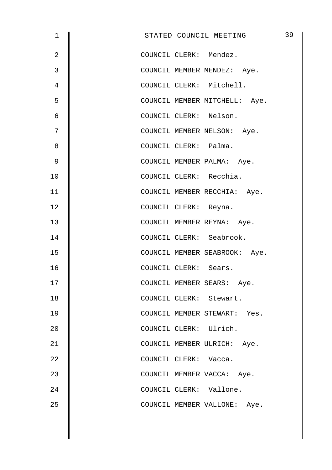| $\mathbf 1$    | STATED COUNCIL MEETING        | 39 |
|----------------|-------------------------------|----|
| $\overline{2}$ | COUNCIL CLERK: Mendez.        |    |
| 3              | COUNCIL MEMBER MENDEZ: Aye.   |    |
| 4              | COUNCIL CLERK: Mitchell.      |    |
| 5              | COUNCIL MEMBER MITCHELL: Aye. |    |
| 6              | COUNCIL CLERK: Nelson.        |    |
| 7              | COUNCIL MEMBER NELSON: Aye.   |    |
| 8              | COUNCIL CLERK: Palma.         |    |
| 9              | COUNCIL MEMBER PALMA: Aye.    |    |
| 10             | COUNCIL CLERK: Recchia.       |    |
| 11             | COUNCIL MEMBER RECCHIA: Aye.  |    |
| 12             | COUNCIL CLERK: Reyna.         |    |
| 13             | COUNCIL MEMBER REYNA: Aye.    |    |
| 14             | COUNCIL CLERK: Seabrook.      |    |
| 15             | COUNCIL MEMBER SEABROOK: Aye. |    |
| 16             | COUNCIL CLERK: Sears.         |    |
| 17             | COUNCIL MEMBER SEARS: Aye.    |    |
| 18             | COUNCIL CLERK: Stewart.       |    |
| 19             | COUNCIL MEMBER STEWART: Yes.  |    |
| 20             | COUNCIL CLERK: Ulrich.        |    |
| 21             | COUNCIL MEMBER ULRICH: Aye.   |    |
| 22             | COUNCIL CLERK: Vacca.         |    |
| 23             | COUNCIL MEMBER VACCA: Aye.    |    |
| 24             | COUNCIL CLERK: Vallone.       |    |
| 25             | COUNCIL MEMBER VALLONE: Aye.  |    |
|                |                               |    |
|                |                               |    |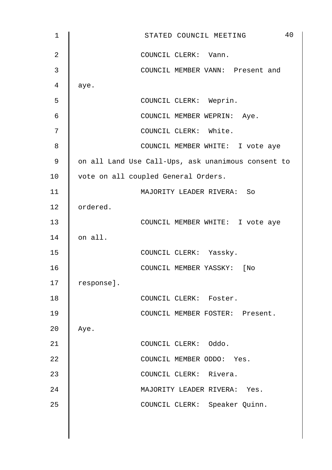| 1              | 40<br>STATED COUNCIL MEETING                       |
|----------------|----------------------------------------------------|
| $\overline{2}$ | COUNCIL CLERK: Vann.                               |
| 3              | COUNCIL MEMBER VANN: Present and                   |
| 4              | aye.                                               |
| 5              | COUNCIL CLERK: Weprin.                             |
| 6              | COUNCIL MEMBER WEPRIN: Aye.                        |
| 7              | COUNCIL CLERK: White.                              |
| 8              | COUNCIL MEMBER WHITE: I vote aye                   |
| 9              | on all Land Use Call-Ups, ask unanimous consent to |
| 10             | vote on all coupled General Orders.                |
| 11             | MAJORITY LEADER RIVERA: So                         |
| 12             | ordered.                                           |
| 13             | COUNCIL MEMBER WHITE: I vote aye                   |
| 14             | on all.                                            |
| 15             | COUNCIL CLERK: Yassky.                             |
| 16             | COUNCIL MEMBER YASSKY: [No                         |
| 17             | response].                                         |
| 18             | COUNCIL CLERK: Foster.                             |
| 19             | COUNCIL MEMBER FOSTER: Present.                    |
| 20             | Aye.                                               |
| 21             | COUNCIL CLERK: Oddo.                               |
| 22             | COUNCIL MEMBER ODDO: Yes.                          |
| 23             | COUNCIL CLERK: Rivera.                             |
| 24             | MAJORITY LEADER RIVERA: Yes.                       |
| 25             | COUNCIL CLERK: Speaker Quinn.                      |
|                |                                                    |
|                |                                                    |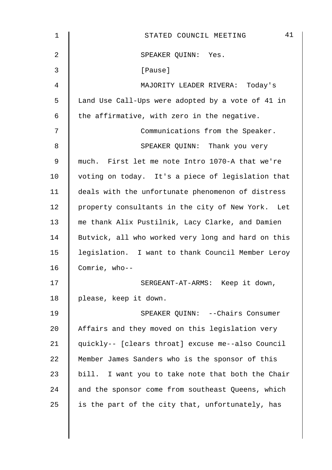| 1  | 41<br>STATED COUNCIL MEETING                       |
|----|----------------------------------------------------|
| 2  | SPEAKER QUINN: Yes.                                |
| 3  | [Pause]                                            |
| 4  | MAJORITY LEADER RIVERA: Today's                    |
| 5  | Land Use Call-Ups were adopted by a vote of 41 in  |
| 6  | the affirmative, with zero in the negative.        |
| 7  | Communications from the Speaker.                   |
| 8  | SPEAKER QUINN: Thank you very                      |
| 9  | much. First let me note Intro 1070-A that we're    |
| 10 | voting on today. It's a piece of legislation that  |
| 11 | deals with the unfortunate phenomenon of distress  |
| 12 | property consultants in the city of New York. Let  |
| 13 | me thank Alix Pustilnik, Lacy Clarke, and Damien   |
| 14 | Butvick, all who worked very long and hard on this |
| 15 | legislation. I want to thank Council Member Leroy  |
| 16 | Comrie, who--                                      |
| 17 | SERGEANT-AT-ARMS: Keep it down,                    |
| 18 | please, keep it down.                              |
| 19 | SPEAKER QUINN: --Chairs Consumer                   |
| 20 | Affairs and they moved on this legislation very    |
| 21 | quickly-- [clears throat] excuse me--also Council  |
| 22 | Member James Sanders who is the sponsor of this    |
| 23 | bill. I want you to take note that both the Chair  |
| 24 | and the sponsor come from southeast Queens, which  |
| 25 | is the part of the city that, unfortunately, has   |
|    |                                                    |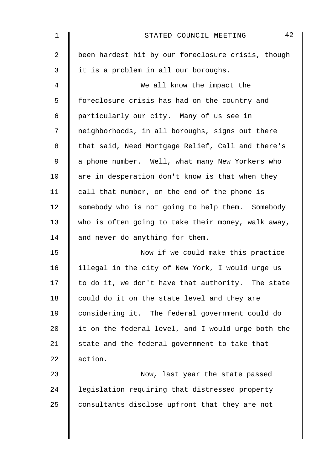| $\mathbf 1$    | 42<br>STATED COUNCIL MEETING                       |
|----------------|----------------------------------------------------|
| $\overline{2}$ | been hardest hit by our foreclosure crisis, though |
| 3              | it is a problem in all our boroughs.               |
| 4              | We all know the impact the                         |
| 5              | foreclosure crisis has had on the country and      |
| 6              | particularly our city. Many of us see in           |
| 7              | neighborhoods, in all boroughs, signs out there    |
| 8              | that said, Need Mortgage Relief, Call and there's  |
| $\mathsf 9$    | a phone number. Well, what many New Yorkers who    |
| 10             | are in desperation don't know is that when they    |
| 11             | call that number, on the end of the phone is       |
| 12             | somebody who is not going to help them. Somebody   |
| 13             | who is often going to take their money, walk away, |
| 14             | and never do anything for them.                    |
| 15             | Now if we could make this practice                 |
| 16             | illegal in the city of New York, I would urge us   |
| 17             | to do it, we don't have that authority. The state  |
| 18             | could do it on the state level and they are        |
| 19             | considering it. The federal government could do    |
| 20             | it on the federal level, and I would urge both the |
| 21             | state and the federal government to take that      |
| 22             | action.                                            |
| 23             | Now, last year the state passed                    |
| 24             | legislation requiring that distressed property     |
| 25             | consultants disclose upfront that they are not     |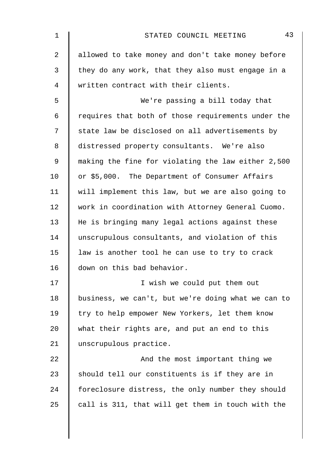| $\mathbf 1$    | 43<br>STATED COUNCIL MEETING                       |
|----------------|----------------------------------------------------|
| $\overline{2}$ | allowed to take money and don't take money before  |
| 3              | they do any work, that they also must engage in a  |
| $\overline{4}$ | written contract with their clients.               |
| 5              | We're passing a bill today that                    |
| 6              | requires that both of those requirements under the |
| 7              | state law be disclosed on all advertisements by    |
| 8              | distressed property consultants. We're also        |
| 9              | making the fine for violating the law either 2,500 |
| 10             | or \$5,000. The Department of Consumer Affairs     |
| 11             | will implement this law, but we are also going to  |
| 12             | work in coordination with Attorney General Cuomo.  |
| 13             | He is bringing many legal actions against these    |
| 14             | unscrupulous consultants, and violation of this    |
| 15             | law is another tool he can use to try to crack     |
| 16             | down on this bad behavior.                         |
| 17             | I wish we could put them out                       |
| 18             | business, we can't, but we're doing what we can to |
| 19             | try to help empower New Yorkers, let them know     |
| 20             | what their rights are, and put an end to this      |
| 21             | unscrupulous practice.                             |
| 22             | And the most important thing we                    |
| 23             | should tell our constituents is if they are in     |
| 24             | foreclosure distress, the only number they should  |
| 25             | call is 311, that will get them in touch with the  |
|                |                                                    |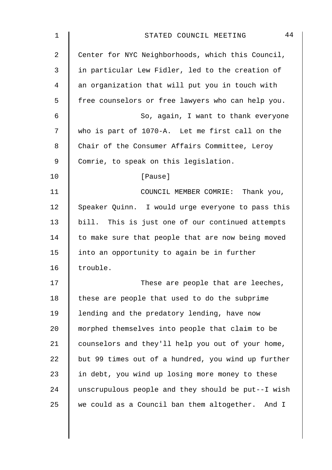| 1              | 44<br>STATED COUNCIL MEETING                        |
|----------------|-----------------------------------------------------|
| $\overline{2}$ | Center for NYC Neighborhoods, which this Council,   |
| 3              | in particular Lew Fidler, led to the creation of    |
| 4              | an organization that will put you in touch with     |
| 5              | free counselors or free lawyers who can help you.   |
| $\epsilon$     | So, again, I want to thank everyone                 |
| 7              | who is part of 1070-A. Let me first call on the     |
| 8              | Chair of the Consumer Affairs Committee, Leroy      |
| $\mathsf 9$    | Comrie, to speak on this legislation.               |
| 10             | [Pause]                                             |
| 11             | COUNCIL MEMBER COMRIE: Thank you,                   |
| 12             | Speaker Quinn. I would urge everyone to pass this   |
| 13             | bill. This is just one of our continued attempts    |
| 14             | to make sure that people that are now being moved   |
| 15             | into an opportunity to again be in further          |
| 16             | trouble.                                            |
| 17             | These are people that are leeches,                  |
| 18             | these are people that used to do the subprime       |
| 19             | lending and the predatory lending, have now         |
| 20             | morphed themselves into people that claim to be     |
| 21             | counselors and they'll help you out of your home,   |
| 22             | but 99 times out of a hundred, you wind up further  |
| 23             | in debt, you wind up losing more money to these     |
| 24             | unscrupulous people and they should be put--I wish  |
| 25             | we could as a Council ban them altogether.<br>And I |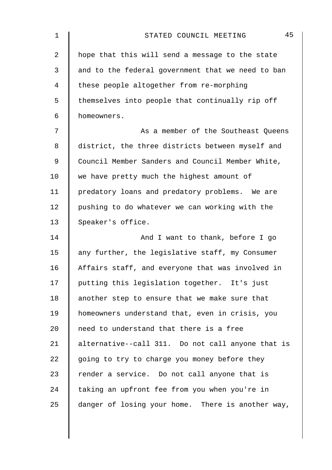| $\mathbf 1$    | 45<br>STATED COUNCIL MEETING                      |
|----------------|---------------------------------------------------|
| $\overline{2}$ | hope that this will send a message to the state   |
| 3              | and to the federal government that we need to ban |
| 4              | these people altogether from re-morphing          |
| 5              | themselves into people that continually rip off   |
| 6              | homeowners.                                       |
| 7              | As a member of the Southeast Queens               |
| 8              | district, the three districts between myself and  |
| 9              | Council Member Sanders and Council Member White,  |
| 10             | we have pretty much the highest amount of         |
| 11             | predatory loans and predatory problems. We are    |
| 12             | pushing to do whatever we can working with the    |
| 13             | Speaker's office.                                 |
| 14             | And I want to thank, before I go                  |
| 15             | any further, the legislative staff, my Consumer   |
| 16             | Affairs staff, and everyone that was involved in  |
| 17             | putting this legislation together. It's just      |
| 18             | another step to ensure that we make sure that     |
| 19             | homeowners understand that, even in crisis, you   |
| 20             | need to understand that there is a free           |
| 21             | alternative--call 311. Do not call anyone that is |
| 22             | going to try to charge you money before they      |
| 23             | render a service. Do not call anyone that is      |
| 24             | taking an upfront fee from you when you're in     |
| 25             | danger of losing your home. There is another way, |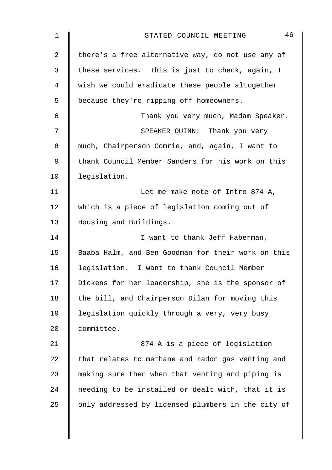| $\mathbf 1$    | 46<br>STATED COUNCIL MEETING                       |
|----------------|----------------------------------------------------|
| $\overline{a}$ | there's a free alternative way, do not use any of  |
| 3              | these services. This is just to check, again, I    |
| 4              | wish we could eradicate these people altogether    |
| 5              | because they're ripping off homeowners.            |
| 6              | Thank you very much, Madam Speaker.                |
| 7              | SPEAKER QUINN: Thank you very                      |
| 8              | much, Chairperson Comrie, and, again, I want to    |
| 9              | thank Council Member Sanders for his work on this  |
| 10             | legislation.                                       |
| 11             | Let me make note of Intro 874-A,                   |
| 12             | which is a piece of legislation coming out of      |
| 13             | Housing and Buildings.                             |
| 14             | I want to thank Jeff Haberman,                     |
| 15             | Baaba Halm, and Ben Goodman for their work on this |
| 16             | legislation. I want to thank Council Member        |
| 17             | Dickens for her leadership, she is the sponsor of  |
| 18             | the bill, and Chairperson Dilan for moving this    |
| 19             | legislation quickly through a very, very busy      |
| 20             | committee.                                         |
| 21             | 874-A is a piece of legislation                    |
| 22             | that relates to methane and radon gas venting and  |
| 23             | making sure then when that venting and piping is   |
| 24             | needing to be installed or dealt with, that it is  |
| 25             | only addressed by licensed plumbers in the city of |
|                |                                                    |
|                |                                                    |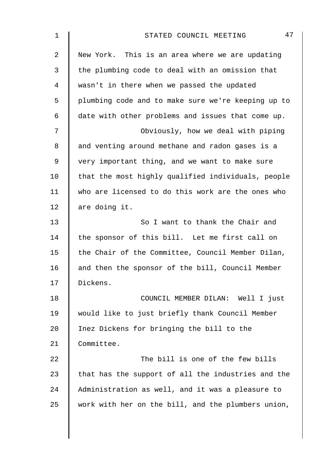| 1           | 47<br>STATED COUNCIL MEETING                       |
|-------------|----------------------------------------------------|
| 2           | New York. This is an area where we are updating    |
| 3           | the plumbing code to deal with an omission that    |
| 4           | wasn't in there when we passed the updated         |
| 5           | plumbing code and to make sure we're keeping up to |
| 6           | date with other problems and issues that come up.  |
| 7           | Obviously, how we deal with piping                 |
| 8           | and venting around methane and radon gases is a    |
| $\mathsf 9$ | very important thing, and we want to make sure     |
| 10          | that the most highly qualified individuals, people |
| 11          | who are licensed to do this work are the ones who  |
| 12          | are doing it.                                      |
| 13          | So I want to thank the Chair and                   |
| 14          | the sponsor of this bill. Let me first call on     |
| 15          | the Chair of the Committee, Council Member Dilan,  |
| 16          | and then the sponsor of the bill, Council Member   |
| 17          | Dickens.                                           |
| 18          | COUNCIL MEMBER DILAN: Well I just                  |
| 19          | would like to just briefly thank Council Member    |
| 20          | Inez Dickens for bringing the bill to the          |
| 21          | Committee.                                         |
| 22          | The bill is one of the few bills                   |
| 23          | that has the support of all the industries and the |
| 24          | Administration as well, and it was a pleasure to   |
| 25          | work with her on the bill, and the plumbers union, |
|             |                                                    |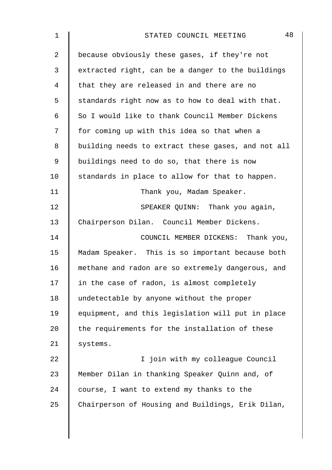| $\mathbf 1$    | 48<br>STATED COUNCIL MEETING                       |
|----------------|----------------------------------------------------|
| $\overline{2}$ | because obviously these gases, if they're not      |
| 3              | extracted right, can be a danger to the buildings  |
| 4              | that they are released in and there are no         |
| 5              | standards right now as to how to deal with that.   |
| 6              | So I would like to thank Council Member Dickens    |
| 7              | for coming up with this idea so that when a        |
| 8              | building needs to extract these gases, and not all |
| 9              | buildings need to do so, that there is now         |
| 10             | standards in place to allow for that to happen.    |
| 11             | Thank you, Madam Speaker.                          |
| 12             | SPEAKER QUINN: Thank you again,                    |
| 13             | Chairperson Dilan. Council Member Dickens.         |
| 14             | COUNCIL MEMBER DICKENS: Thank you,                 |
| 15             | Madam Speaker. This is so important because both   |
| 16             | methane and radon are so extremely dangerous, and  |
| 17             | in the case of radon, is almost completely         |
| 18             | undetectable by anyone without the proper          |
| 19             | equipment, and this legislation will put in place  |
| 20             | the requirements for the installation of these     |
| 21             | systems.                                           |
| 22             | I join with my colleague Council                   |
| 23             | Member Dilan in thanking Speaker Quinn and, of     |
| 24             | course, I want to extend my thanks to the          |
| 25             | Chairperson of Housing and Buildings, Erik Dilan,  |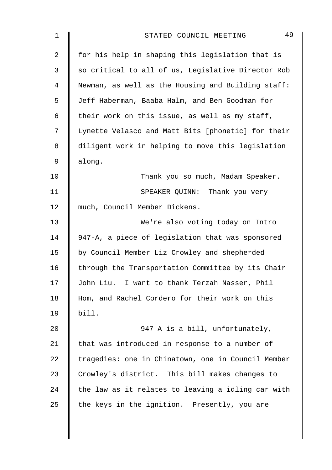| $\mathbf 1$    | 49<br>STATED COUNCIL MEETING                       |
|----------------|----------------------------------------------------|
| $\overline{2}$ | for his help in shaping this legislation that is   |
| 3              | so critical to all of us, Legislative Director Rob |
| 4              | Newman, as well as the Housing and Building staff: |
| 5              | Jeff Haberman, Baaba Halm, and Ben Goodman for     |
| 6              | their work on this issue, as well as my staff,     |
| 7              | Lynette Velasco and Matt Bits [phonetic] for their |
| 8              | diligent work in helping to move this legislation  |
| 9              | along.                                             |
| 10             | Thank you so much, Madam Speaker.                  |
| 11             | SPEAKER QUINN: Thank you very                      |
| 12             | much, Council Member Dickens.                      |
| 13             | We're also voting today on Intro                   |
| 14             | 947-A, a piece of legislation that was sponsored   |
| 15             | by Council Member Liz Crowley and shepherded       |
| 16             | through the Transportation Committee by its Chair  |
| 17             | John Liu. I want to thank Terzah Nasser, Phil      |
| 18             | Hom, and Rachel Cordero for their work on this     |
| 19             | bill.                                              |
| 20             | 947-A is a bill, unfortunately,                    |
| 21             | that was introduced in response to a number of     |
| 22             | tragedies: one in Chinatown, one in Council Member |
| 23             | Crowley's district. This bill makes changes to     |
| 24             | the law as it relates to leaving a idling car with |
| 25             | the keys in the ignition. Presently, you are       |
|                |                                                    |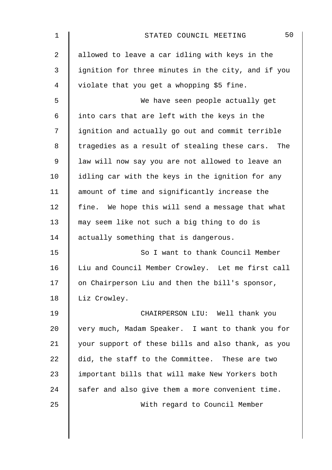| $\mathbf 1$    | 50<br>STATED COUNCIL MEETING                       |
|----------------|----------------------------------------------------|
| $\overline{a}$ | allowed to leave a car idling with keys in the     |
| 3              | ignition for three minutes in the city, and if you |
| 4              | violate that you get a whopping \$5 fine.          |
| 5              | We have seen people actually get                   |
| 6              | into cars that are left with the keys in the       |
| 7              | ignition and actually go out and commit terrible   |
| $\,8\,$        | tragedies as a result of stealing these cars. The  |
| $\mathsf 9$    | law will now say you are not allowed to leave an   |
| 10             | idling car with the keys in the ignition for any   |
| 11             | amount of time and significantly increase the      |
| 12             | fine. We hope this will send a message that what   |
| 13             | may seem like not such a big thing to do is        |
| 14             | actually something that is dangerous.              |
| 15             | So I want to thank Council Member                  |
| 16             | Liu and Council Member Crowley. Let me first call  |
| 17             | on Chairperson Liu and then the bill's sponsor,    |
| 18             | Liz Crowley.                                       |
| 19             | CHAIRPERSON LIU: Well thank you                    |
| 20             | very much, Madam Speaker. I want to thank you for  |
| 21             | your support of these bills and also thank, as you |
| 22             | did, the staff to the Committee. These are two     |
| 23             | important bills that will make New Yorkers both    |
| 24             | safer and also give them a more convenient time.   |
| 25             | With regard to Council Member                      |
|                |                                                    |
|                |                                                    |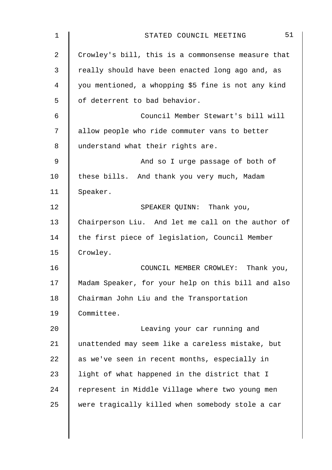| $\mathbf 1$    | 51<br>STATED COUNCIL MEETING                       |
|----------------|----------------------------------------------------|
| $\overline{a}$ | Crowley's bill, this is a commonsense measure that |
| 3              | really should have been enacted long ago and, as   |
| 4              | you mentioned, a whopping \$5 fine is not any kind |
| 5              | of deterrent to bad behavior.                      |
| 6              | Council Member Stewart's bill will                 |
| 7              | allow people who ride commuter vans to better      |
| 8              | understand what their rights are.                  |
| $\mathsf 9$    | And so I urge passage of both of                   |
| 10             | these bills. And thank you very much, Madam        |
| 11             | Speaker.                                           |
| 12             | SPEAKER QUINN: Thank you,                          |
| 13             | Chairperson Liu. And let me call on the author of  |
| 14             | the first piece of legislation, Council Member     |
| 15             | Crowley.                                           |
| 16             | COUNCIL MEMBER CROWLEY: Thank you,                 |
| 17             | Madam Speaker, for your help on this bill and also |
| 18             | Chairman John Liu and the Transportation           |
| 19             | Committee.                                         |
| 20             | Leaving your car running and                       |
| 21             | unattended may seem like a careless mistake, but   |
| 22             | as we've seen in recent months, especially in      |
| 23             | light of what happened in the district that I      |
| 24             | represent in Middle Village where two young men    |
| 25             | were tragically killed when somebody stole a car   |
|                |                                                    |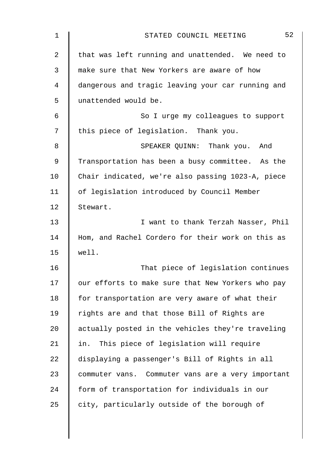| $\mathbf 1$    | 52<br>STATED COUNCIL MEETING                      |
|----------------|---------------------------------------------------|
| $\overline{2}$ | that was left running and unattended. We need to  |
| 3              | make sure that New Yorkers are aware of how       |
| 4              | dangerous and tragic leaving your car running and |
| 5              | unattended would be.                              |
| 6              | So I urge my colleagues to support                |
| 7              | this piece of legislation. Thank you.             |
| 8              | SPEAKER QUINN: Thank you. And                     |
| 9              | Transportation has been a busy committee. As the  |
| 10             | Chair indicated, we're also passing 1023-A, piece |
| 11             | of legislation introduced by Council Member       |
| 12             | Stewart.                                          |
| 13             | I want to thank Terzah Nasser, Phil               |
| 14             | Hom, and Rachel Cordero for their work on this as |
| 15             | well.                                             |
| 16             | That piece of legislation continues               |
| 17             | our efforts to make sure that New Yorkers who pay |
| 18             | for transportation are very aware of what their   |
| 19             | rights are and that those Bill of Rights are      |
| 20             | actually posted in the vehicles they're traveling |
| 21             | in. This piece of legislation will require        |
| 22             | displaying a passenger's Bill of Rights in all    |
| 23             | commuter vans. Commuter vans are a very important |
| 24             | form of transportation for individuals in our     |
| 25             | city, particularly outside of the borough of      |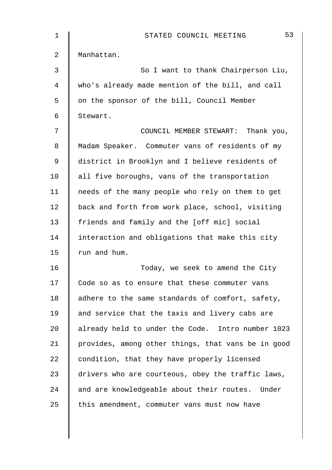| 1  | 53<br>STATED COUNCIL MEETING                       |
|----|----------------------------------------------------|
| 2  | Manhattan.                                         |
| 3  | So I want to thank Chairperson Liu,                |
| 4  | who's already made mention of the bill, and call   |
| 5  | on the sponsor of the bill, Council Member         |
| 6  | Stewart.                                           |
| 7  | COUNCIL MEMBER STEWART: Thank you,                 |
| 8  | Madam Speaker. Commuter vans of residents of my    |
| 9  | district in Brooklyn and I believe residents of    |
| 10 | all five boroughs, vans of the transportation      |
| 11 | needs of the many people who rely on them to get   |
| 12 | back and forth from work place, school, visiting   |
| 13 | friends and family and the [off mic] social        |
| 14 | interaction and obligations that make this city    |
| 15 | run and hum.                                       |
| 16 | Today, we seek to amend the City                   |
| 17 | Code so as to ensure that these commuter vans      |
| 18 | adhere to the same standards of comfort, safety,   |
| 19 | and service that the taxis and livery cabs are     |
| 20 | already held to under the Code. Intro number 1023  |
| 21 | provides, among other things, that vans be in good |
| 22 | condition, that they have properly licensed        |
| 23 | drivers who are courteous, obey the traffic laws,  |
| 24 | and are knowledgeable about their routes. Under    |
| 25 | this amendment, commuter vans must now have        |
|    |                                                    |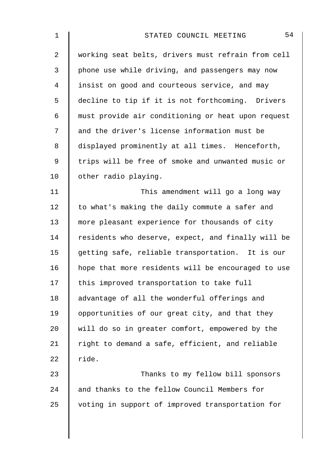| 1           | 54<br>STATED COUNCIL MEETING                       |
|-------------|----------------------------------------------------|
| 2           | working seat belts, drivers must refrain from cell |
| 3           | phone use while driving, and passengers may now    |
| 4           | insist on good and courteous service, and may      |
| 5           | decline to tip if it is not forthcoming. Drivers   |
| 6           | must provide air conditioning or heat upon request |
| 7           | and the driver's license information must be       |
| 8           | displayed prominently at all times. Henceforth,    |
| $\mathsf 9$ | trips will be free of smoke and unwanted music or  |
| 10          | other radio playing.                               |
| 11          | This amendment will go a long way                  |
| 12          | to what's making the daily commute a safer and     |
| 13          | more pleasant experience for thousands of city     |
| 14          | residents who deserve, expect, and finally will be |
| 15          | getting safe, reliable transportation. It is our   |
| 16          | hope that more residents will be encouraged to use |
| 17          | this improved transportation to take full          |
| 18          | advantage of all the wonderful offerings and       |
| 19          | opportunities of our great city, and that they     |
| 20          | will do so in greater comfort, empowered by the    |
| 21          | right to demand a safe, efficient, and reliable    |
| 22          | ride.                                              |
| 23          | Thanks to my fellow bill sponsors                  |
| 24          | and thanks to the fellow Council Members for       |
| 25          | voting in support of improved transportation for   |
|             |                                                    |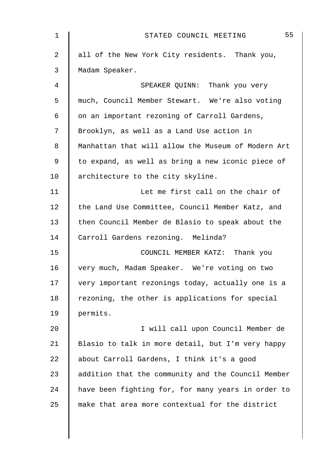| $\mathbf 1$ | 55<br>STATED COUNCIL MEETING                       |
|-------------|----------------------------------------------------|
| 2           | all of the New York City residents. Thank you,     |
| 3           | Madam Speaker.                                     |
| 4           | SPEAKER QUINN: Thank you very                      |
| 5           | much, Council Member Stewart. We're also voting    |
| 6           | on an important rezoning of Carroll Gardens,       |
| 7           | Brooklyn, as well as a Land Use action in          |
| 8           | Manhattan that will allow the Museum of Modern Art |
| 9           | to expand, as well as bring a new iconic piece of  |
| 10          | architecture to the city skyline.                  |
| 11          | Let me first call on the chair of                  |
| 12          | the Land Use Committee, Council Member Katz, and   |
| 13          | then Council Member de Blasio to speak about the   |
| 14          | Carroll Gardens rezoning. Melinda?                 |
| 15          | COUNCIL MEMBER KATZ: Thank you                     |
| 16          | very much, Madam Speaker. We're voting on two      |
| 17          | very important rezonings today, actually one is a  |
| 18          | rezoning, the other is applications for special    |
| 19          | permits.                                           |
| 20          | I will call upon Council Member de                 |
| 21          | Blasio to talk in more detail, but I'm very happy  |
| 22          | about Carroll Gardens, I think it's a good         |
| 23          | addition that the community and the Council Member |
| 24          | have been fighting for, for many years in order to |
| 25          | make that area more contextual for the district    |
|             |                                                    |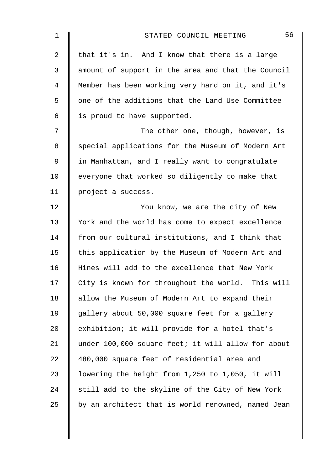| 1           | 56<br>STATED COUNCIL MEETING                       |
|-------------|----------------------------------------------------|
| 2           | that it's in. And I know that there is a large     |
| 3           | amount of support in the area and that the Council |
| 4           | Member has been working very hard on it, and it's  |
| 5           | one of the additions that the Land Use Committee   |
| 6           | is proud to have supported.                        |
| 7           | The other one, though, however, is                 |
| 8           | special applications for the Museum of Modern Art  |
| $\mathsf 9$ | in Manhattan, and I really want to congratulate    |
| 10          | everyone that worked so diligently to make that    |
| 11          | project a success.                                 |
| 12          | You know, we are the city of New                   |
| 13          | York and the world has come to expect excellence   |
| 14          | from our cultural institutions, and I think that   |
| 15          | this application by the Museum of Modern Art and   |
| 16          | Hines will add to the excellence that New York     |
| 17          | City is known for throughout the world. This will  |
| 18          | allow the Museum of Modern Art to expand their     |
| 19          | gallery about 50,000 square feet for a gallery     |
| 20          | exhibition; it will provide for a hotel that's     |
| 21          | under 100,000 square feet; it will allow for about |
| 22          | 480,000 square feet of residential area and        |
| 23          | lowering the height from 1,250 to 1,050, it will   |
| 24          | still add to the skyline of the City of New York   |
| 25          | by an architect that is world renowned, named Jean |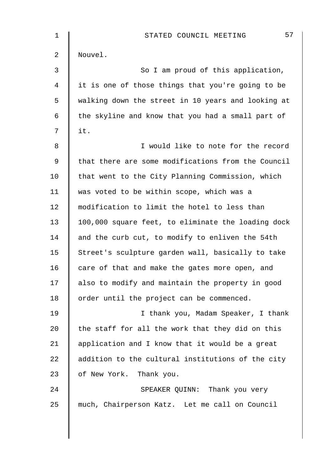| $\mathbf 1$    | 57<br>STATED COUNCIL MEETING                       |
|----------------|----------------------------------------------------|
| $\overline{a}$ | Nouvel.                                            |
| 3              | So I am proud of this application,                 |
| $\overline{4}$ | it is one of those things that you're going to be  |
| 5              | walking down the street in 10 years and looking at |
| 6              | the skyline and know that you had a small part of  |
| 7              | it.                                                |
| 8              | I would like to note for the record                |
| $\mathsf 9$    | that there are some modifications from the Council |
| 10             | that went to the City Planning Commission, which   |
| 11             | was voted to be within scope, which was a          |
| 12             | modification to limit the hotel to less than       |
| 13             | 100,000 square feet, to eliminate the loading dock |
| 14             | and the curb cut, to modify to enliven the 54th    |
| 15             | Street's sculpture garden wall, basically to take  |
| 16             | care of that and make the gates more open, and     |
| 17             | also to modify and maintain the property in good   |
| 18             | order until the project can be commenced.          |
| 19             | I thank you, Madam Speaker, I thank                |
| 20             | the staff for all the work that they did on this   |
| 21             | application and I know that it would be a great    |
| 22             | addition to the cultural institutions of the city  |
| 23             | of New York. Thank you.                            |
| 24             | SPEAKER QUINN: Thank you very                      |
| 25             | much, Chairperson Katz. Let me call on Council     |
|                |                                                    |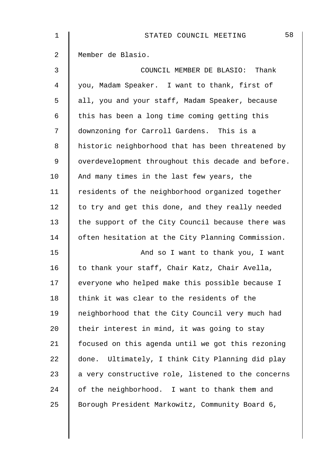| $\mathbf 1$    | 58<br>STATED COUNCIL MEETING                       |
|----------------|----------------------------------------------------|
| 2              | Member de Blasio.                                  |
| 3              | COUNCIL MEMBER DE BLASIO: Thank                    |
| $\overline{4}$ | you, Madam Speaker. I want to thank, first of      |
| 5              | all, you and your staff, Madam Speaker, because    |
| 6              | this has been a long time coming getting this      |
| 7              | downzoning for Carroll Gardens. This is a          |
| 8              | historic neighborhood that has been threatened by  |
| 9              | overdevelopment throughout this decade and before. |
| 10             | And many times in the last few years, the          |
| 11             | residents of the neighborhood organized together   |
| 12             | to try and get this done, and they really needed   |
| 13             | the support of the City Council because there was  |
| 14             | often hesitation at the City Planning Commission.  |
| 15             | And so I want to thank you, I want                 |
| 16             | to thank your staff, Chair Katz, Chair Avella,     |
| 17             | everyone who helped make this possible because I   |
| 18             | think it was clear to the residents of the         |
| 19             | neighborhood that the City Council very much had   |
| 20             | their interest in mind, it was going to stay       |
| 21             | focused on this agenda until we got this rezoning  |
| 22             | done. Ultimately, I think City Planning did play   |
| 23             | a very constructive role, listened to the concerns |
| 24             | of the neighborhood. I want to thank them and      |
| 25             | Borough President Markowitz, Community Board 6,    |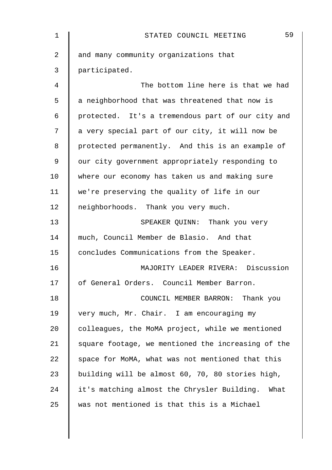| 1  | 59<br>STATED COUNCIL MEETING                       |
|----|----------------------------------------------------|
| 2  | and many community organizations that              |
| 3  | participated.                                      |
| 4  | The bottom line here is that we had                |
| 5  | a neighborhood that was threatened that now is     |
| 6  | protected. It's a tremendous part of our city and  |
| 7  | a very special part of our city, it will now be    |
| 8  | protected permanently. And this is an example of   |
| 9  | our city government appropriately responding to    |
| 10 | where our economy has taken us and making sure     |
| 11 | we're preserving the quality of life in our        |
| 12 | neighborhoods. Thank you very much.                |
| 13 | SPEAKER QUINN: Thank you very                      |
| 14 | much, Council Member de Blasio. And that           |
| 15 | concludes Communications from the Speaker.         |
| 16 | MAJORITY LEADER RIVERA: Discussion                 |
| 17 | of General Orders. Council Member Barron.          |
| 18 | COUNCIL MEMBER BARRON: Thank you                   |
| 19 | very much, Mr. Chair. I am encouraging my          |
| 20 | colleagues, the MoMA project, while we mentioned   |
| 21 | square footage, we mentioned the increasing of the |
| 22 | space for MoMA, what was not mentioned that this   |
| 23 | building will be almost 60, 70, 80 stories high,   |
| 24 | it's matching almost the Chrysler Building. What   |
| 25 | was not mentioned is that this is a Michael        |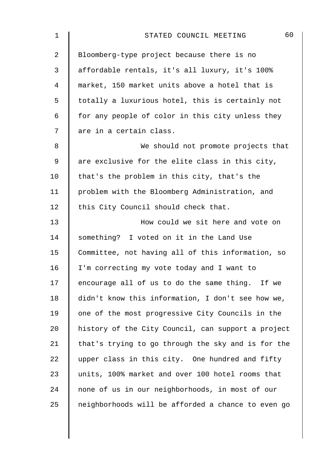| $\mathbf 1$ | 60<br>STATED COUNCIL MEETING                       |
|-------------|----------------------------------------------------|
| 2           | Bloomberg-type project because there is no         |
| 3           | affordable rentals, it's all luxury, it's 100%     |
| 4           | market, 150 market units above a hotel that is     |
| 5           | totally a luxurious hotel, this is certainly not   |
| 6           | for any people of color in this city unless they   |
| 7           | are in a certain class.                            |
| 8           | We should not promote projects that                |
| 9           | are exclusive for the elite class in this city,    |
| 10          | that's the problem in this city, that's the        |
| 11          | problem with the Bloomberg Administration, and     |
| 12          | this City Council should check that.               |
| 13          | How could we sit here and vote on                  |
| 14          | something? I voted on it in the Land Use           |
| 15          | Committee, not having all of this information, so  |
| 16          | I'm correcting my vote today and I want to         |
| 17          | encourage all of us to do the same thing. If we    |
| 18          | didn't know this information, I don't see how we,  |
| 19          | one of the most progressive City Councils in the   |
| 20          | history of the City Council, can support a project |
| 21          | that's trying to go through the sky and is for the |
| 22          | upper class in this city. One hundred and fifty    |
| 23          | units, 100% market and over 100 hotel rooms that   |
| 24          | none of us in our neighborhoods, in most of our    |
| 25          | neighborhoods will be afforded a chance to even go |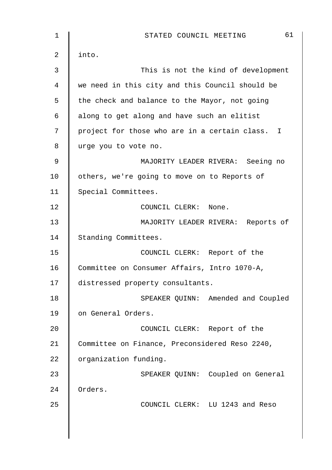| $\mathbf 1$    | 61<br>STATED COUNCIL MEETING                    |
|----------------|-------------------------------------------------|
| $\overline{2}$ | into.                                           |
| 3              | This is not the kind of development             |
| 4              | we need in this city and this Council should be |
| 5              | the check and balance to the Mayor, not going   |
| $\epsilon$     | along to get along and have such an elitist     |
| 7              | project for those who are in a certain class. I |
| 8              | urge you to vote no.                            |
| $\mathsf 9$    | MAJORITY LEADER RIVERA: Seeing no               |
| 10             | others, we're going to move on to Reports of    |
| 11             | Special Committees.                             |
| 12             | COUNCIL CLERK:<br>None.                         |
| 13             | MAJORITY LEADER RIVERA: Reports of              |
| 14             | Standing Committees.                            |
| 15             | COUNCIL CLERK: Report of the                    |
| 16             | Committee on Consumer Affairs, Intro 1070-A,    |
| 17             | distressed property consultants.                |
| 18             | SPEAKER QUINN: Amended and Coupled              |
| 19             | on General Orders.                              |
| 20             | COUNCIL CLERK: Report of the                    |
| 21             | Committee on Finance, Preconsidered Reso 2240,  |
| 22             | organization funding.                           |
| 23             | SPEAKER QUINN: Coupled on General               |
| 24             | Orders.                                         |
| 25             | COUNCIL CLERK: LU 1243 and Reso                 |
|                |                                                 |
|                |                                                 |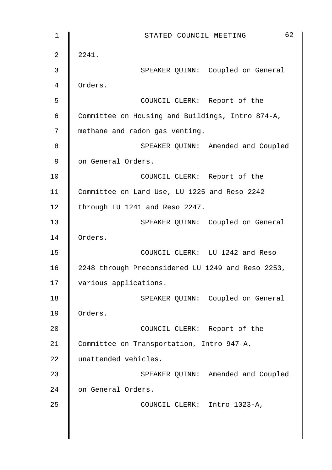1 || STATED COUNCIL MEETING 62  $2 \parallel 2241.$ 3 || SPEAKER QUINN: Coupled on General 4 Orders. 5 COUNCIL CLERK: Report of the 6 Committee on Housing and Buildings, Intro 874-A, 7 || methane and radon gas venting. 8 SPEAKER QUINN: Amended and Coupled 9 | on General Orders. 10 | COUNCIL CLERK: Report of the 11 Committee on Land Use, LU 1225 and Reso 2242 12 | through LU 1241 and Reso 2247. 13 | SPEAKER QUINN: Coupled on General 14 Orders. 15 COUNCIL CLERK: LU 1242 and Reso 16 | 2248 through Preconsidered LU 1249 and Reso 2253, 17 | various applications. 18 || SPEAKER QUINN: Coupled on General 19 Orders. 20 **COUNCIL CLERK:** Report of the 21 Committee on Transportation, Intro 947-A, 22 unattended vehicles. 23 SPEAKER QUINN: Amended and Coupled 24 | on General Orders. 25 COUNCIL CLERK: Intro 1023-A,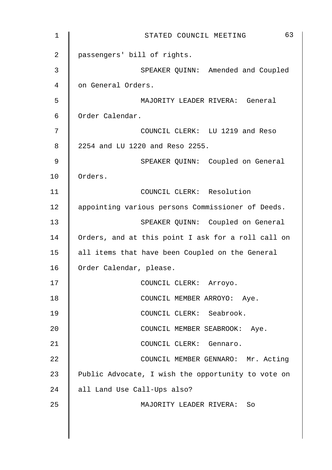| $\mathbf 1$    | 63<br>STATED COUNCIL MEETING                       |
|----------------|----------------------------------------------------|
| $\overline{2}$ | passengers' bill of rights.                        |
| 3              | SPEAKER QUINN: Amended and Coupled                 |
| 4              | on General Orders.                                 |
| 5              | MAJORITY LEADER RIVERA: General                    |
| $\epsilon$     | Order Calendar.                                    |
| 7              | COUNCIL CLERK: LU 1219 and Reso                    |
| 8              | 2254 and LU 1220 and Reso 2255.                    |
| 9              | SPEAKER QUINN: Coupled on General                  |
| 10             | Orders.                                            |
| 11             | COUNCIL CLERK: Resolution                          |
| 12             | appointing various persons Commissioner of Deeds.  |
| 13             | SPEAKER QUINN: Coupled on General                  |
| 14             | Orders, and at this point I ask for a roll call on |
| 15             | all items that have been Coupled on the General    |
| 16             | Order Calendar, please.                            |
| 17             | COUNCIL CLERK: Arroyo.                             |
| 18             | COUNCIL MEMBER ARROYO: Aye.                        |
| 19             | COUNCIL CLERK: Seabrook.                           |
| 20             | COUNCIL MEMBER SEABROOK: Aye.                      |
| 21             | COUNCIL CLERK: Gennaro.                            |
| 22             | COUNCIL MEMBER GENNARO: Mr. Acting                 |
| 23             | Public Advocate, I wish the opportunity to vote on |
| 24             | all Land Use Call-Ups also?                        |
| 25             | MAJORITY LEADER RIVERA: So                         |
|                |                                                    |
|                |                                                    |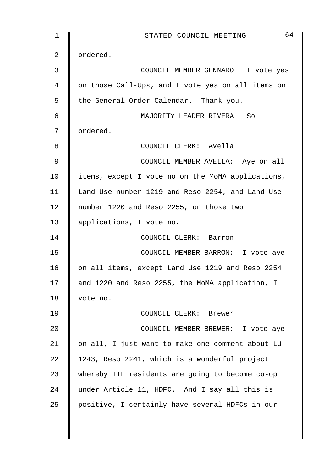1 || STATED COUNCIL MEETING 64 2 | ordered. 3 COUNCIL MEMBER GENNARO: I vote yes 4 | on those Call-Ups, and I vote yes on all items on 5 the General Order Calendar. Thank you. 6 MAJORITY LEADER RIVERA: So 7 | ordered. 8 || COUNCIL CLERK: Avella. 9 || COUNCIL MEMBER AVELLA: Aye on all  $10$  | items, except I vote no on the MoMA applications, 11 | Land Use number 1219 and Reso 2254, and Land Use 12 number 1220 and Reso 2255, on those two 13 || applications, I vote no. 14 | COUNCIL CLERK: Barron. 15 | COUNCIL MEMBER BARRON: I vote aye 16 on all items, except Land Use 1219 and Reso 2254 17 | and 1220 and Reso 2255, the MoMA application, I 18 vote no. 19 COUNCIL CLERK: Brewer. 20 **COUNCIL MEMBER BREWER:** I vote aye 21  $\parallel$  on all, I just want to make one comment about LU 22  $\parallel$  1243, Reso 2241, which is a wonderful project 23 whereby TIL residents are going to become co-op 24 under Article 11, HDFC. And I say all this is 25 positive, I certainly have several HDFCs in our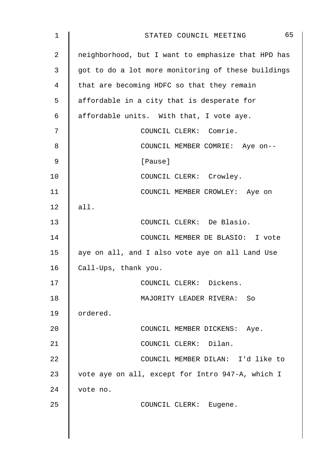| $\mathbf 1$ | 65<br>STATED COUNCIL MEETING                       |
|-------------|----------------------------------------------------|
| 2           | neighborhood, but I want to emphasize that HPD has |
| 3           | got to do a lot more monitoring of these buildings |
| 4           | that are becoming HDFC so that they remain         |
| 5           | affordable in a city that is desperate for         |
| 6           | affordable units. With that, I vote aye.           |
| 7           | COUNCIL CLERK: Comrie.                             |
| 8           | COUNCIL MEMBER COMRIE: Aye on--                    |
| $\mathsf 9$ | [Pause]                                            |
| 10          | COUNCIL CLERK: Crowley.                            |
| 11          | COUNCIL MEMBER CROWLEY: Aye on                     |
| 12          | all.                                               |
| 13          | COUNCIL CLERK: De Blasio.                          |
| 14          | COUNCIL MEMBER DE BLASIO: I vote                   |
| 15          | aye on all, and I also vote aye on all Land Use    |
| 16          | Call-Ups, thank you.                               |
| 17          | COUNCIL CLERK: Dickens.                            |
| 18          | MAJORITY LEADER RIVERA: So                         |
| 19          | ordered.                                           |
| 20          | COUNCIL MEMBER DICKENS: Aye.                       |
| 21          | COUNCIL CLERK: Dilan.                              |
| 22          | COUNCIL MEMBER DILAN: I'd like to                  |
| 23          | vote aye on all, except for Intro 947-A, which I   |
| 24          | vote no.                                           |
| 25          | COUNCIL CLERK: Eugene.                             |
|             |                                                    |
|             |                                                    |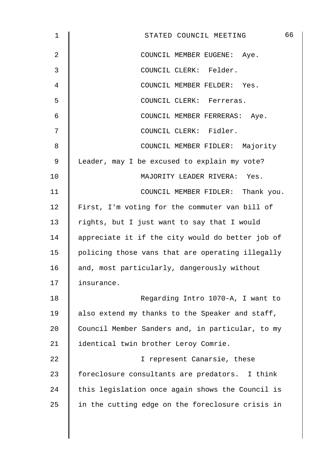| $\mathbf 1$    | 66<br>STATED COUNCIL MEETING                     |
|----------------|--------------------------------------------------|
| $\overline{2}$ | COUNCIL MEMBER EUGENE: Aye.                      |
| $\mathbf{3}$   | COUNCIL CLERK: Felder.                           |
| 4              | COUNCIL MEMBER FELDER: Yes.                      |
| 5              | COUNCIL CLERK: Ferreras.                         |
| 6              | COUNCIL MEMBER FERRERAS: Aye.                    |
| 7              | COUNCIL CLERK: Fidler.                           |
| 8              | COUNCIL MEMBER FIDLER: Majority                  |
| 9              | Leader, may I be excused to explain my vote?     |
| 10             | MAJORITY LEADER RIVERA: Yes.                     |
| 11             | COUNCIL MEMBER FIDLER: Thank you.                |
| 12             | First, I'm voting for the commuter van bill of   |
| 13             | rights, but I just want to say that I would      |
| 14             | appreciate it if the city would do better job of |
| 15             | policing those vans that are operating illegally |
| 16             | and, most particularly, dangerously without      |
| 17             | insurance.                                       |
| 18             | Regarding Intro 1070-A, I want to                |
| 19             | also extend my thanks to the Speaker and staff,  |
| 20             | Council Member Sanders and, in particular, to my |
| 21             | identical twin brother Leroy Comrie.             |
| 22             | I represent Canarsie, these                      |
| 23             | foreclosure consultants are predators. I think   |
| 24             | this legislation once again shows the Council is |
| 25             | in the cutting edge on the foreclosure crisis in |
|                |                                                  |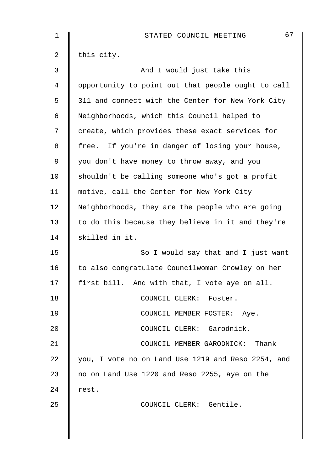| 1  | 67<br>STATED COUNCIL MEETING                       |
|----|----------------------------------------------------|
| 2  | this city.                                         |
| 3  | And I would just take this                         |
| 4  | opportunity to point out that people ought to call |
| 5  | 311 and connect with the Center for New York City  |
| 6  | Neighborhoods, which this Council helped to        |
| 7  | create, which provides these exact services for    |
| 8  | free. If you're in danger of losing your house,    |
| 9  | you don't have money to throw away, and you        |
| 10 | shouldn't be calling someone who's got a profit    |
| 11 | motive, call the Center for New York City          |
| 12 | Neighborhoods, they are the people who are going   |
| 13 | to do this because they believe in it and they're  |
| 14 | skilled in it.                                     |
| 15 | So I would say that and I just want                |
| 16 | to also congratulate Councilwoman Crowley on her   |
| 17 | first bill. And with that, I vote aye on all.      |
| 18 | COUNCIL CLERK: Foster.                             |
| 19 | COUNCIL MEMBER FOSTER: Aye.                        |
| 20 | COUNCIL CLERK: Garodnick.                          |
| 21 | COUNCIL MEMBER GARODNICK: Thank                    |
| 22 | you, I vote no on Land Use 1219 and Reso 2254, and |
| 23 | no on Land Use 1220 and Reso 2255, aye on the      |
| 24 | rest.                                              |
| 25 | COUNCIL CLERK: Gentile.                            |
|    |                                                    |
|    |                                                    |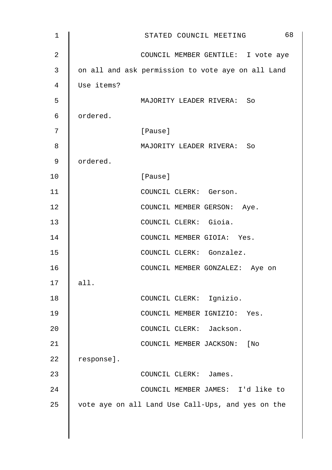| $\mathbf 1$    | 68<br>STATED COUNCIL MEETING                      |
|----------------|---------------------------------------------------|
| $\overline{2}$ | COUNCIL MEMBER GENTILE: I vote aye                |
| 3              | on all and ask permission to vote aye on all Land |
| 4              | Use items?                                        |
| 5              | MAJORITY LEADER RIVERA: So                        |
| 6              | ordered.                                          |
| 7              | [Pause]                                           |
| 8              | MAJORITY LEADER RIVERA: So                        |
| $\mathsf 9$    | ordered.                                          |
| 10             | [Pause]                                           |
| 11             | COUNCIL CLERK: Gerson.                            |
| 12             | COUNCIL MEMBER GERSON: Aye.                       |
| 13             | COUNCIL CLERK: Gioia.                             |
| 14             | COUNCIL MEMBER GIOIA: Yes.                        |
| 15             | COUNCIL CLERK: Gonzalez.                          |
| 16             | COUNCIL MEMBER GONZALEZ: Aye on                   |
| 17             | all.                                              |
| 18             | COUNCIL CLERK: Ignizio.                           |
| 19             | COUNCIL MEMBER IGNIZIO: Yes.                      |
| 20             | COUNCIL CLERK: Jackson.                           |
| 21             | COUNCIL MEMBER JACKSON: [No                       |
| 22             | response].                                        |
| 23             | COUNCIL CLERK: James.                             |
| 24             | COUNCIL MEMBER JAMES: I'd like to                 |
| 25             | vote aye on all Land Use Call-Ups, and yes on the |
|                |                                                   |

 $\overline{\phantom{a}}$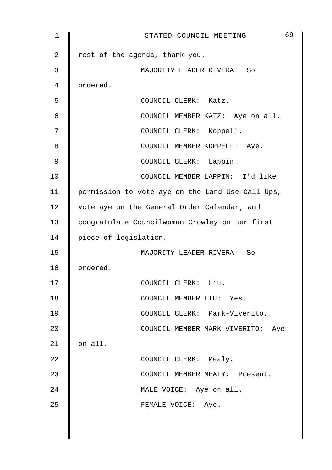| 1  | 69<br>STATED COUNCIL MEETING                     |
|----|--------------------------------------------------|
| 2  | rest of the agenda, thank you.                   |
| 3  | MAJORITY LEADER RIVERA: So                       |
| 4  | ordered.                                         |
| 5  | COUNCIL CLERK: Katz.                             |
| 6  | COUNCIL MEMBER KATZ: Aye on all.                 |
| 7  | COUNCIL CLERK: Koppell.                          |
| 8  | COUNCIL MEMBER KOPPELL: Aye.                     |
| 9  | COUNCIL CLERK: Lappin.                           |
| 10 | COUNCIL MEMBER LAPPIN: I'd like                  |
| 11 | permission to vote aye on the Land Use Call-Ups, |
| 12 | vote aye on the General Order Calendar, and      |
| 13 | congratulate Councilwoman Crowley on her first   |
| 14 | piece of legislation.                            |
| 15 | MAJORITY LEADER RIVERA: So                       |
| 16 | ordered.                                         |
| 17 | COUNCIL CLERK: Liu.                              |
| 18 | COUNCIL MEMBER LIU: Yes.                         |
| 19 | COUNCIL CLERK: Mark-Viverito.                    |
| 20 | COUNCIL MEMBER MARK-VIVERITO: Aye                |
| 21 | on all.                                          |
| 22 | COUNCIL CLERK: Mealy.                            |
| 23 | COUNCIL MEMBER MEALY: Present.                   |
| 24 | MALE VOICE: Aye on all.                          |
| 25 | FEMALE VOICE: Aye.                               |
|    |                                                  |
|    |                                                  |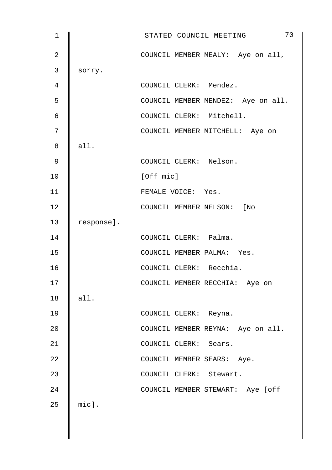| $\mathbf 1$ |            | 70<br>STATED COUNCIL MEETING       |
|-------------|------------|------------------------------------|
| 2           |            | COUNCIL MEMBER MEALY: Aye on all,  |
| 3           | sorry.     |                                    |
| 4           |            | COUNCIL CLERK: Mendez.             |
| 5           |            | COUNCIL MEMBER MENDEZ: Aye on all. |
| 6           |            | COUNCIL CLERK: Mitchell.           |
| 7           |            | COUNCIL MEMBER MITCHELL: Aye on    |
| 8           | all.       |                                    |
| 9           |            | COUNCIL CLERK: Nelson.             |
| 10          |            | [Off mic]                          |
| 11          |            | FEMALE VOICE: Yes.                 |
| 12          |            | COUNCIL MEMBER NELSON: [No         |
| 13          | response]. |                                    |
| 14          |            | COUNCIL CLERK: Palma.              |
| 15          |            | COUNCIL MEMBER PALMA: Yes.         |
| 16          |            | COUNCIL CLERK: Recchia.            |
| 17          |            | COUNCIL MEMBER RECCHIA: Aye on     |
| 18          | all.       |                                    |
| 19          |            | COUNCIL CLERK: Reyna.              |
| 20          |            | COUNCIL MEMBER REYNA: Aye on all.  |
| 21          |            | COUNCIL CLERK: Sears.              |
| 22          |            | COUNCIL MEMBER SEARS: Aye.         |
| 23          |            | COUNCIL CLERK: Stewart.            |
| 24          |            | COUNCIL MEMBER STEWART: Aye [off   |
| 25          | mic].      |                                    |
|             |            |                                    |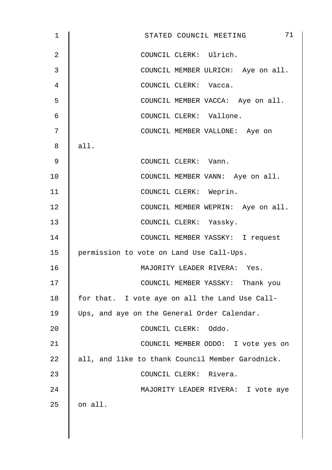| $\mathbf 1$    | 71<br>STATED COUNCIL MEETING                     |
|----------------|--------------------------------------------------|
| $\overline{2}$ | COUNCIL CLERK: Ulrich.                           |
| 3              | COUNCIL MEMBER ULRICH: Aye on all.               |
| 4              | COUNCIL CLERK: Vacca.                            |
| 5              | COUNCIL MEMBER VACCA: Aye on all.                |
| $\epsilon$     | COUNCIL CLERK: Vallone.                          |
| 7              | COUNCIL MEMBER VALLONE: Aye on                   |
| 8              | all.                                             |
| $\mathsf 9$    | COUNCIL CLERK: Vann.                             |
| 10             | COUNCIL MEMBER VANN: Aye on all.                 |
| 11             | COUNCIL CLERK: Weprin.                           |
| 12             | COUNCIL MEMBER WEPRIN: Aye on all.               |
| 13             | COUNCIL CLERK: Yassky.                           |
| 14             | COUNCIL MEMBER YASSKY: I request                 |
| 15             | permission to vote on Land Use Call-Ups.         |
| 16             | MAJORITY LEADER RIVERA: Yes.                     |
| 17             | COUNCIL MEMBER YASSKY: Thank you                 |
| 18             | for that. I vote aye on all the Land Use Call-   |
| 19             | Ups, and aye on the General Order Calendar.      |
| 20             | COUNCIL CLERK: Oddo.                             |
| 21             | COUNCIL MEMBER ODDO: I vote yes on               |
| 22             | all, and like to thank Council Member Garodnick. |
| 23             | COUNCIL CLERK: Rivera.                           |
| 24             | MAJORITY LEADER RIVERA: I vote aye               |
| 25             | on all.                                          |
|                |                                                  |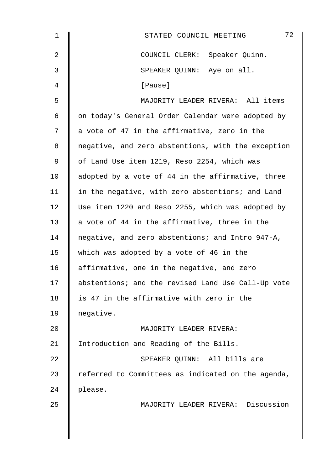| 1  | 72<br>STATED COUNCIL MEETING                       |
|----|----------------------------------------------------|
| 2  | COUNCIL CLERK: Speaker Quinn.                      |
| 3  | SPEAKER QUINN: Aye on all.                         |
| 4  | [Pause]                                            |
| 5  | MAJORITY LEADER RIVERA: All items                  |
| 6  | on today's General Order Calendar were adopted by  |
| 7  | a vote of 47 in the affirmative, zero in the       |
| 8  | negative, and zero abstentions, with the exception |
| 9  | of Land Use item 1219, Reso 2254, which was        |
| 10 | adopted by a vote of 44 in the affirmative, three  |
| 11 | in the negative, with zero abstentions; and Land   |
| 12 | Use item 1220 and Reso 2255, which was adopted by  |
| 13 | a vote of 44 in the affirmative, three in the      |
| 14 | negative, and zero abstentions; and Intro 947-A,   |
| 15 | which was adopted by a vote of 46 in the           |
| 16 | affirmative, one in the negative, and zero         |
| 17 | abstentions; and the revised Land Use Call-Up vote |
| 18 | is 47 in the affirmative with zero in the          |
| 19 | negative.                                          |
| 20 | MAJORITY LEADER RIVERA:                            |
| 21 | Introduction and Reading of the Bills.             |
| 22 | SPEAKER QUINN: All bills are                       |
| 23 | referred to Committees as indicated on the agenda, |
| 24 | please.                                            |
| 25 | MAJORITY LEADER RIVERA: Discussion                 |
|    |                                                    |
|    |                                                    |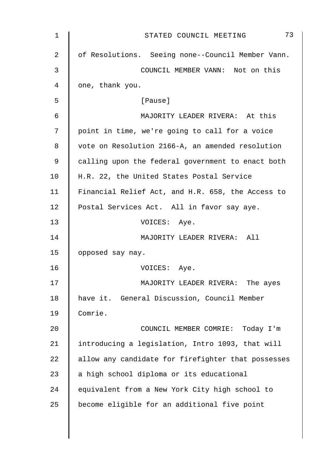| 1  | 73<br>STATED COUNCIL MEETING                       |
|----|----------------------------------------------------|
| 2  | of Resolutions. Seeing none--Council Member Vann.  |
| 3  | COUNCIL MEMBER VANN: Not on this                   |
| 4  | one, thank you.                                    |
| 5  | [Pause]                                            |
| 6  | MAJORITY LEADER RIVERA: At this                    |
| 7  | point in time, we're going to call for a voice     |
| 8  | vote on Resolution 2166-A, an amended resolution   |
| 9  | calling upon the federal government to enact both  |
| 10 | H.R. 22, the United States Postal Service          |
| 11 | Financial Relief Act, and H.R. 658, the Access to  |
| 12 | Postal Services Act. All in favor say aye.         |
| 13 | VOICES: Aye.                                       |
| 14 | MAJORITY LEADER RIVERA: All                        |
| 15 | opposed say nay.                                   |
| 16 | VOICES: Aye.                                       |
| 17 | MAJORITY LEADER RIVERA: The ayes                   |
| 18 | have it. General Discussion, Council Member        |
| 19 | Comrie.                                            |
| 20 | COUNCIL MEMBER COMRIE: Today I'm                   |
| 21 | introducing a legislation, Intro 1093, that will   |
| 22 | allow any candidate for firefighter that possesses |
| 23 | a high school diploma or its educational           |
| 24 | equivalent from a New York City high school to     |
| 25 | become eligible for an additional five point       |
|    |                                                    |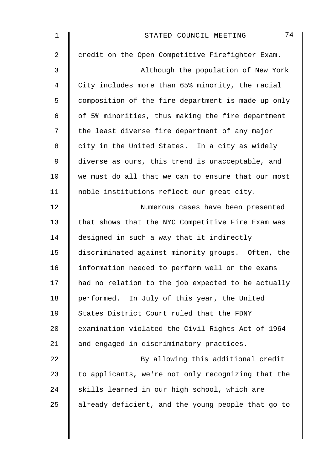| $\mathbf 1$    | 74<br>STATED COUNCIL MEETING                       |
|----------------|----------------------------------------------------|
| $\overline{2}$ | credit on the Open Competitive Firefighter Exam.   |
| 3              | Although the population of New York                |
| 4              | City includes more than 65% minority, the racial   |
| 5              | composition of the fire department is made up only |
| 6              | of 5% minorities, thus making the fire department  |
| 7              | the least diverse fire department of any major     |
| 8              | city in the United States. In a city as widely     |
| 9              | diverse as ours, this trend is unacceptable, and   |
| 10             | we must do all that we can to ensure that our most |
| 11             | noble institutions reflect our great city.         |
| 12             | Numerous cases have been presented                 |
| 13             | that shows that the NYC Competitive Fire Exam was  |
| 14             | designed in such a way that it indirectly          |
| 15             | discriminated against minority groups. Often, the  |
| 16             | information needed to perform well on the exams    |
| 17             | had no relation to the job expected to be actually |
| 18             | performed. In July of this year, the United        |
| 19             | States District Court ruled that the FDNY          |
| 20             | examination violated the Civil Rights Act of 1964  |
| 21             | and engaged in discriminatory practices.           |
| 22             | By allowing this additional credit                 |
| 23             | to applicants, we're not only recognizing that the |
| 24             | skills learned in our high school, which are       |
| 25             | already deficient, and the young people that go to |
|                |                                                    |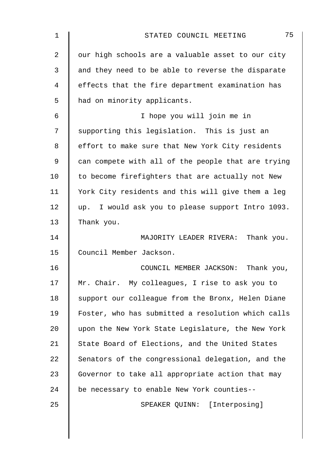| 1              | 75<br>STATED COUNCIL MEETING                       |
|----------------|----------------------------------------------------|
| $\overline{2}$ | our high schools are a valuable asset to our city  |
| 3              | and they need to be able to reverse the disparate  |
| 4              | effects that the fire department examination has   |
| 5              | had on minority applicants.                        |
| 6              | I hope you will join me in                         |
| 7              | supporting this legislation. This is just an       |
| 8              | effort to make sure that New York City residents   |
| 9              | can compete with all of the people that are trying |
| 10             | to become firefighters that are actually not New   |
| 11             | York City residents and this will give them a leg  |
| 12             | up. I would ask you to please support Intro 1093.  |
| 13             | Thank you.                                         |
| 14             | MAJORITY LEADER RIVERA: Thank you.                 |
| 15             | Council Member Jackson.                            |
| 16             | COUNCIL MEMBER JACKSON:<br>Thank you,              |
| 17             | Mr. Chair. My colleagues, I rise to ask you to     |
| 18             | support our colleague from the Bronx, Helen Diane  |
| 19             | Foster, who has submitted a resolution which calls |
| 20             | upon the New York State Legislature, the New York  |
| 21             | State Board of Elections, and the United States    |
| 22             | Senators of the congressional delegation, and the  |
| 23             | Governor to take all appropriate action that may   |
| 24             | be necessary to enable New York counties--         |
| 25             | SPEAKER QUINN: [Interposing]                       |
|                |                                                    |
|                |                                                    |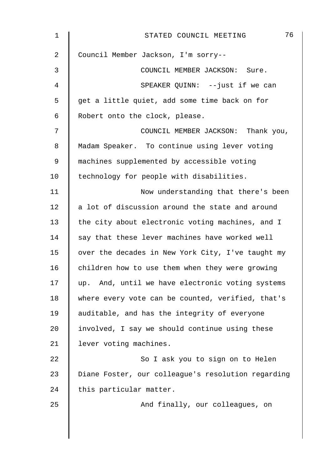| $\mathbf 1$ | 76<br>STATED COUNCIL MEETING                       |
|-------------|----------------------------------------------------|
| 2           | Council Member Jackson, I'm sorry--                |
| 3           | COUNCIL MEMBER JACKSON: Sure.                      |
| 4           | SPEAKER QUINN: --just if we can                    |
| 5           | get a little quiet, add some time back on for      |
| 6           | Robert onto the clock, please.                     |
| 7           | COUNCIL MEMBER JACKSON: Thank you,                 |
| 8           | Madam Speaker. To continue using lever voting      |
| $\mathsf 9$ | machines supplemented by accessible voting         |
| 10          | technology for people with disabilities.           |
| 11          | Now understanding that there's been                |
| 12          | a lot of discussion around the state and around    |
| 13          | the city about electronic voting machines, and I   |
| 14          | say that these lever machines have worked well     |
| 15          | over the decades in New York City, I've taught my  |
| 16          | children how to use them when they were growing    |
| 17          | up. And, until we have electronic voting systems   |
| 18          | where every vote can be counted, verified, that's  |
| 19          | auditable, and has the integrity of everyone       |
| 20          | involved, I say we should continue using these     |
| 21          | lever voting machines.                             |
| 22          | So I ask you to sign on to Helen                   |
| 23          | Diane Foster, our colleague's resolution regarding |
| 24          | this particular matter.                            |
| 25          | And finally, our colleagues, on                    |
|             |                                                    |
|             |                                                    |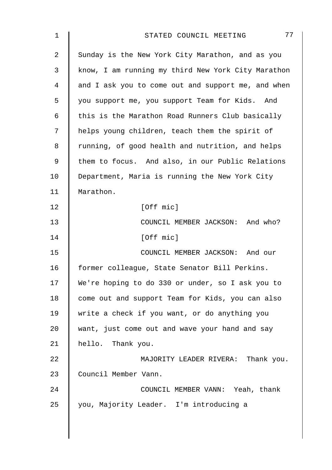| $\mathbf 1$    | 77<br>STATED COUNCIL MEETING                       |
|----------------|----------------------------------------------------|
| $\overline{2}$ | Sunday is the New York City Marathon, and as you   |
| 3              | know, I am running my third New York City Marathon |
| 4              | and I ask you to come out and support me, and when |
| 5              | you support me, you support Team for Kids. And     |
| 6              | this is the Marathon Road Runners Club basically   |
| 7              | helps young children, teach them the spirit of     |
| 8              | running, of good health and nutrition, and helps   |
| 9              | them to focus. And also, in our Public Relations   |
| 10             | Department, Maria is running the New York City     |
| 11             | Marathon.                                          |
| 12             | [Off mic]                                          |
| 13             | COUNCIL MEMBER JACKSON: And who?                   |
| 14             | [Off mic]                                          |
| 15             | COUNCIL MEMBER JACKSON: And our                    |
| 16             | former colleague, State Senator Bill Perkins.      |
| 17             | We're hoping to do 330 or under, so I ask you to   |
| 18             | come out and support Team for Kids, you can also   |
| 19             | write a check if you want, or do anything you      |
| 20             | want, just come out and wave your hand and say     |
| 21             | hello. Thank you.                                  |
| 22             | MAJORITY LEADER RIVERA: Thank you.                 |
| 23             | Council Member Vann.                               |
| 24             | COUNCIL MEMBER VANN: Yeah, thank                   |
| 25             | you, Majority Leader. I'm introducing a            |
|                |                                                    |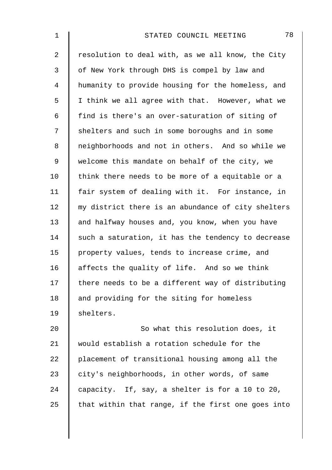| 1  | 78<br>STATED COUNCIL MEETING                       |
|----|----------------------------------------------------|
| 2  | resolution to deal with, as we all know, the City  |
| 3  | of New York through DHS is compel by law and       |
| 4  | humanity to provide housing for the homeless, and  |
| 5  | I think we all agree with that. However, what we   |
| 6  | find is there's an over-saturation of siting of    |
| 7  | shelters and such in some boroughs and in some     |
| 8  | neighborhoods and not in others. And so while we   |
| 9  | welcome this mandate on behalf of the city, we     |
| 10 | think there needs to be more of a equitable or a   |
| 11 | fair system of dealing with it. For instance, in   |
| 12 | my district there is an abundance of city shelters |
| 13 | and halfway houses and, you know, when you have    |
| 14 | such a saturation, it has the tendency to decrease |
| 15 | property values, tends to increase crime, and      |
| 16 | affects the quality of life. And so we think       |
| 17 | there needs to be a different way of distributing  |
| 18 | and providing for the siting for homeless          |
| 19 | shelters.                                          |
| 20 | So what this resolution does, it                   |
| 21 | would establish a rotation schedule for the        |
| 22 | placement of transitional housing among all the    |
| 23 | city's neighborhoods, in other words, of same      |
| 24 | capacity. If, say, a shelter is for a 10 to 20,    |
| 25 | that within that range, if the first one goes into |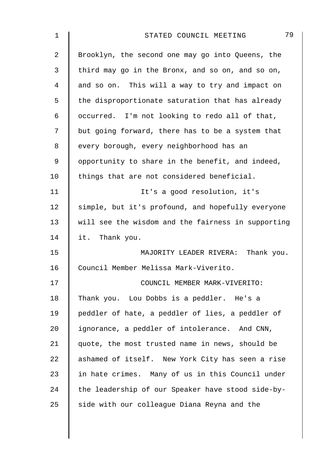| $\mathbf 1$ | 79<br>STATED COUNCIL MEETING                       |
|-------------|----------------------------------------------------|
| 2           | Brooklyn, the second one may go into Queens, the   |
| 3           | third may go in the Bronx, and so on, and so on,   |
| 4           | and so on. This will a way to try and impact on    |
| 5           | the disproportionate saturation that has already   |
| 6           | occurred. I'm not looking to redo all of that,     |
| 7           | but going forward, there has to be a system that   |
| 8           | every borough, every neighborhood has an           |
| 9           | opportunity to share in the benefit, and indeed,   |
| 10          | things that are not considered beneficial.         |
| 11          | It's a good resolution, it's                       |
| 12          | simple, but it's profound, and hopefully everyone  |
| 13          | will see the wisdom and the fairness in supporting |
| 14          | it. Thank you.                                     |
| 15          | MAJORITY LEADER RIVERA: Thank you.                 |
| 16          | Council Member Melissa Mark-Viverito.              |
| 17          | COUNCIL MEMBER MARK-VIVERITO:                      |
| 18          | Thank you. Lou Dobbs is a peddler. He's a          |
| 19          | peddler of hate, a peddler of lies, a peddler of   |
| 20          | ignorance, a peddler of intolerance. And CNN,      |
| 21          | quote, the most trusted name in news, should be    |
| 22          | ashamed of itself. New York City has seen a rise   |
| 23          | in hate crimes. Many of us in this Council under   |
| 24          | the leadership of our Speaker have stood side-by-  |
| 25          | side with our colleague Diana Reyna and the        |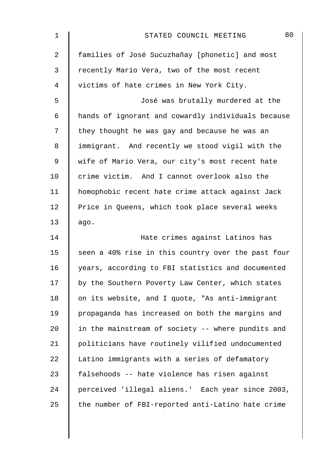| $\mathbf 1$    | 80<br>STATED COUNCIL MEETING                       |
|----------------|----------------------------------------------------|
| $\overline{2}$ | families of José Sucuzhañay [phonetic] and most    |
| 3              | recently Mario Vera, two of the most recent        |
| 4              | victims of hate crimes in New York City.           |
| 5              | José was brutally murdered at the                  |
| 6              | hands of ignorant and cowardly individuals because |
| 7              | they thought he was gay and because he was an      |
| 8              | immigrant. And recently we stood vigil with the    |
| $\mathsf 9$    | wife of Mario Vera, our city's most recent hate    |
| 10             | crime victim. And I cannot overlook also the       |
| 11             | homophobic recent hate crime attack against Jack   |
| 12             | Price in Queens, which took place several weeks    |
| 13             | ago.                                               |
| 14             | Hate crimes against Latinos has                    |
| 15             | seen a 40% rise in this country over the past four |
| 16             | years, according to FBI statistics and documented  |
| 17             | by the Southern Poverty Law Center, which states   |
| 18             | on its website, and I quote, "As anti-immigrant    |
| 19             | propaganda has increased on both the margins and   |
| 20             | in the mainstream of society -- where pundits and  |
| 21             | politicians have routinely vilified undocumented   |
| 22             | Latino immigrants with a series of defamatory      |
| 23             | falsehoods -- hate violence has risen against      |
| 24             | perceived 'illegal aliens.' Each year since 2003,  |
| 25             | the number of FBI-reported anti-Latino hate crime  |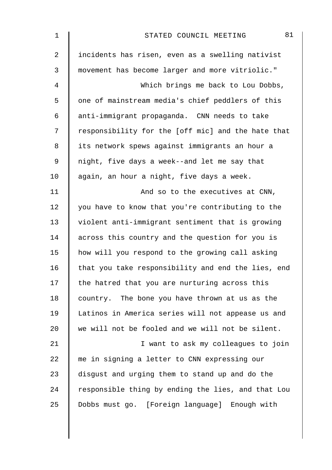| $\mathbf 1$    | 81<br>STATED COUNCIL MEETING                       |
|----------------|----------------------------------------------------|
| $\overline{2}$ | incidents has risen, even as a swelling nativist   |
| 3              | movement has become larger and more vitriolic."    |
| 4              | Which brings me back to Lou Dobbs,                 |
| 5              | one of mainstream media's chief peddlers of this   |
| 6              | anti-immigrant propaganda. CNN needs to take       |
| 7              | responsibility for the [off mic] and the hate that |
| 8              | its network spews against immigrants an hour a     |
| 9              | night, five days a week--and let me say that       |
| 10             | again, an hour a night, five days a week.          |
| 11             | And so to the executives at CNN,                   |
| 12             | you have to know that you're contributing to the   |
| 13             | violent anti-immigrant sentiment that is growing   |
| 14             | across this country and the question for you is    |
| 15             | how will you respond to the growing call asking    |
| 16             | that you take responsibility and end the lies, end |
| 17             | the hatred that you are nurturing across this      |
| 18             | country. The bone you have thrown at us as the     |
| 19             | Latinos in America series will not appease us and  |
| 20             | we will not be fooled and we will not be silent.   |
| 21             | I want to ask my colleagues to join                |
| 22             | me in signing a letter to CNN expressing our       |
| 23             | disgust and urging them to stand up and do the     |
| 24             | responsible thing by ending the lies, and that Lou |
| 25             | Dobbs must go. [Foreign language] Enough with      |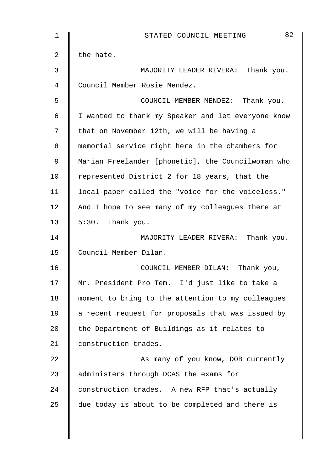| 1              | 82<br>STATED COUNCIL MEETING                       |
|----------------|----------------------------------------------------|
| $\overline{2}$ | the hate.                                          |
| $\mathfrak{Z}$ | MAJORITY LEADER RIVERA: Thank you.                 |
| 4              | Council Member Rosie Mendez.                       |
| 5              | COUNCIL MEMBER MENDEZ: Thank you.                  |
| 6              | I wanted to thank my Speaker and let everyone know |
| 7              | that on November 12th, we will be having a         |
| 8              | memorial service right here in the chambers for    |
| 9              | Marian Freelander [phonetic], the Councilwoman who |
| 10             | represented District 2 for 18 years, that the      |
| 11             | local paper called the "voice for the voiceless."  |
| 12             | And I hope to see many of my colleagues there at   |
| 13             | 5:30. Thank you.                                   |
| 14             | MAJORITY LEADER RIVERA: Thank you.                 |
| 15             | Council Member Dilan.                              |
| 16             | COUNCIL MEMBER DILAN: Thank you,                   |
| 17             | Mr. President Pro Tem. I'd just like to take a     |
| 18             | moment to bring to the attention to my colleagues  |
| 19             | a recent request for proposals that was issued by  |
| 20             | the Department of Buildings as it relates to       |
| 21             | construction trades.                               |
| 22             | As many of you know, DOB currently                 |
| 23             | administers through DCAS the exams for             |
| 24             | construction trades. A new RFP that's actually     |
| 25             | due today is about to be completed and there is    |
|                |                                                    |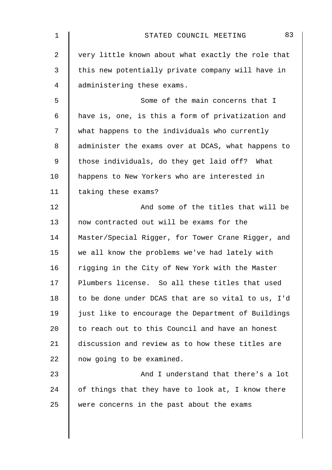| $\mathbf 1$    | 83<br>STATED COUNCIL MEETING                       |
|----------------|----------------------------------------------------|
| $\overline{2}$ | very little known about what exactly the role that |
| 3              | this new potentially private company will have in  |
| 4              | administering these exams.                         |
| 5              | Some of the main concerns that I                   |
| 6              | have is, one, is this a form of privatization and  |
| 7              | what happens to the individuals who currently      |
| 8              | administer the exams over at DCAS, what happens to |
| 9              | those individuals, do they get laid off? What      |
| 10             | happens to New Yorkers who are interested in       |
| 11             | taking these exams?                                |
| 12             | And some of the titles that will be                |
| 13             | now contracted out will be exams for the           |
| 14             | Master/Special Rigger, for Tower Crane Rigger, and |
| 15             | we all know the problems we've had lately with     |
| 16             | rigging in the City of New York with the Master    |
| 17             | Plumbers license. So all these titles that used    |
| 18             | to be done under DCAS that are so vital to us, I'd |
| 19             | just like to encourage the Department of Buildings |
| 20             | to reach out to this Council and have an honest    |
| 21             | discussion and review as to how these titles are   |
| 22             | now going to be examined.                          |
| 23             | And I understand that there's a lot                |
| 24             | of things that they have to look at, I know there  |
| 25             | were concerns in the past about the exams          |
|                |                                                    |
|                |                                                    |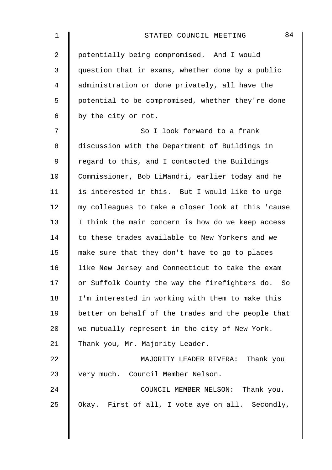| 1  | 84<br>STATED COUNCIL MEETING                       |
|----|----------------------------------------------------|
| 2  | potentially being compromised. And I would         |
| 3  | question that in exams, whether done by a public   |
| 4  | administration or done privately, all have the     |
| 5  | potential to be compromised, whether they're done  |
| 6  | by the city or not.                                |
| 7  | So I look forward to a frank                       |
| 8  | discussion with the Department of Buildings in     |
| 9  | regard to this, and I contacted the Buildings      |
| 10 | Commissioner, Bob LiMandri, earlier today and he   |
| 11 | is interested in this. But I would like to urge    |
| 12 | my colleagues to take a closer look at this 'cause |
| 13 | I think the main concern is how do we keep access  |
| 14 | to these trades available to New Yorkers and we    |
| 15 | make sure that they don't have to go to places     |
| 16 | like New Jersey and Connecticut to take the exam   |
| 17 | or Suffolk County the way the firefighters do. So  |
| 18 | I'm interested in working with them to make this   |
| 19 | better on behalf of the trades and the people that |
| 20 | we mutually represent in the city of New York.     |
| 21 | Thank you, Mr. Majority Leader.                    |
| 22 | MAJORITY LEADER RIVERA: Thank you                  |
| 23 | very much. Council Member Nelson.                  |
| 24 | COUNCIL MEMBER NELSON: Thank you.                  |
| 25 | Okay. First of all, I vote aye on all. Secondly,   |
|    |                                                    |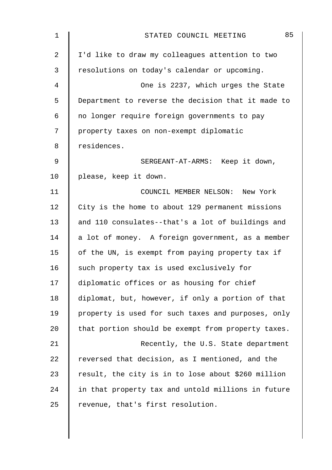| $\mathbf 1$    | 85<br>STATED COUNCIL MEETING                       |
|----------------|----------------------------------------------------|
| $\overline{2}$ | I'd like to draw my colleagues attention to two    |
| 3              | resolutions on today's calendar or upcoming.       |
| 4              | One is 2237, which urges the State                 |
| 5              | Department to reverse the decision that it made to |
| 6              | no longer require foreign governments to pay       |
| 7              | property taxes on non-exempt diplomatic            |
| 8              | residences.                                        |
| 9              | SERGEANT-AT-ARMS: Keep it down,                    |
| 10             | please, keep it down.                              |
| 11             | COUNCIL MEMBER NELSON: New York                    |
| 12             | City is the home to about 129 permanent missions   |
| 13             | and 110 consulates--that's a lot of buildings and  |
| 14             | a lot of money. A foreign government, as a member  |
| 15             | of the UN, is exempt from paying property tax if   |
| 16             | such property tax is used exclusively for          |
| 17             | diplomatic offices or as housing for chief         |
| 18             | diplomat, but, however, if only a portion of that  |
| 19             | property is used for such taxes and purposes, only |
| 20             | that portion should be exempt from property taxes. |
| 21             | Recently, the U.S. State department                |
| 22             | reversed that decision, as I mentioned, and the    |
| 23             | result, the city is in to lose about \$260 million |
| 24             | in that property tax and untold millions in future |
| 25             | revenue, that's first resolution.                  |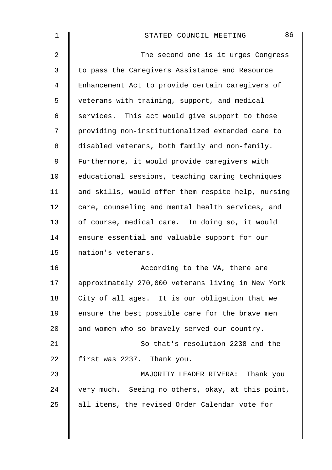| 1  | 86<br>STATED COUNCIL MEETING                       |
|----|----------------------------------------------------|
| 2  | The second one is it urges Congress                |
| 3  | to pass the Caregivers Assistance and Resource     |
| 4  | Enhancement Act to provide certain caregivers of   |
| 5  | veterans with training, support, and medical       |
| 6  | services. This act would give support to those     |
| 7  | providing non-institutionalized extended care to   |
| 8  | disabled veterans, both family and non-family.     |
| 9  | Furthermore, it would provide caregivers with      |
| 10 | educational sessions, teaching caring techniques   |
| 11 | and skills, would offer them respite help, nursing |
| 12 | care, counseling and mental health services, and   |
| 13 | of course, medical care. In doing so, it would     |
| 14 | ensure essential and valuable support for our      |
| 15 | nation's veterans.                                 |
| 16 | According to the VA, there are                     |
| 17 | approximately 270,000 veterans living in New York  |
| 18 | City of all ages. It is our obligation that we     |
| 19 | ensure the best possible care for the brave men    |
| 20 | and women who so bravely served our country.       |
| 21 | So that's resolution 2238 and the                  |
| 22 | first was 2237. Thank you.                         |
| 23 | MAJORITY LEADER RIVERA: Thank you                  |
| 24 | very much. Seeing no others, okay, at this point,  |
| 25 | all items, the revised Order Calendar vote for     |
|    |                                                    |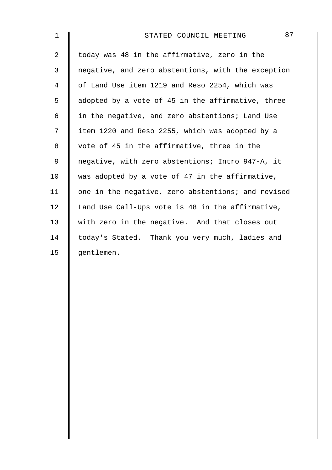| $\mathbf 1$    | 87<br>STATED COUNCIL MEETING                       |
|----------------|----------------------------------------------------|
| $\overline{a}$ | today was 48 in the affirmative, zero in the       |
| 3              | negative, and zero abstentions, with the exception |
| 4              | of Land Use item 1219 and Reso 2254, which was     |
| 5              | adopted by a vote of 45 in the affirmative, three  |
| 6              | in the negative, and zero abstentions; Land Use    |
| 7              | item 1220 and Reso 2255, which was adopted by a    |
| $8\,$          | vote of 45 in the affirmative, three in the        |
| $\mathsf 9$    | negative, with zero abstentions; Intro 947-A, it   |
| 10             | was adopted by a vote of 47 in the affirmative,    |
| 11             | one in the negative, zero abstentions; and revised |
| 12             | Land Use Call-Ups vote is 48 in the affirmative,   |
| 13             | with zero in the negative. And that closes out     |
| 14             | today's Stated. Thank you very much, ladies and    |
| 15             | gentlemen.                                         |
|                |                                                    |